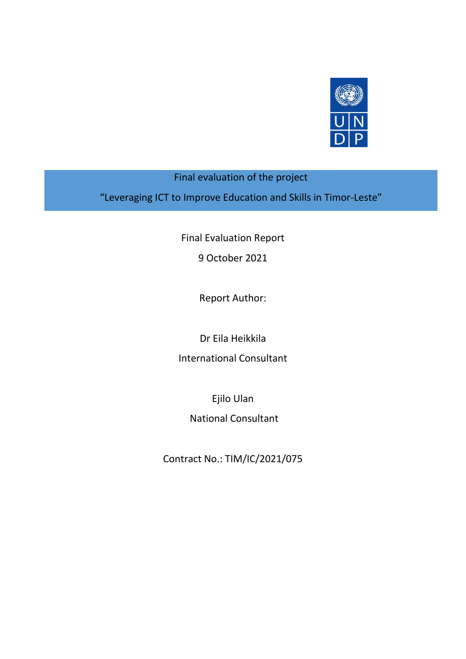

## Final evaluation of the project

"Leveraging ICT to Improve Education and Skills in Timor-Leste"

Final Evaluation Report

9 October 2021

Report Author:

Dr Eila Heikkila

International Consultant

Ejilo Ulan

National Consultant

Contract No.: TIM/IC/2021/075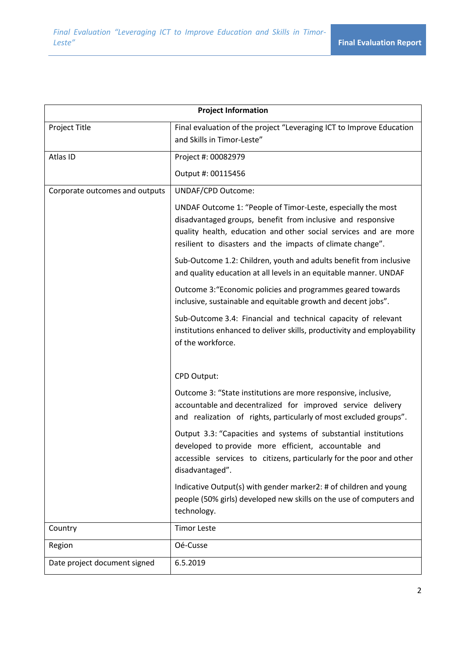| <b>Project Information</b>     |                                                                                                                                                                                                                                                               |  |
|--------------------------------|---------------------------------------------------------------------------------------------------------------------------------------------------------------------------------------------------------------------------------------------------------------|--|
| Project Title                  | Final evaluation of the project "Leveraging ICT to Improve Education<br>and Skills in Timor-Leste"                                                                                                                                                            |  |
| Atlas ID                       | Project #: 00082979                                                                                                                                                                                                                                           |  |
|                                | Output #: 00115456                                                                                                                                                                                                                                            |  |
| Corporate outcomes and outputs | <b>UNDAF/CPD Outcome:</b>                                                                                                                                                                                                                                     |  |
|                                | UNDAF Outcome 1: "People of Timor-Leste, especially the most<br>disadvantaged groups, benefit from inclusive and responsive<br>quality health, education and other social services and are more<br>resilient to disasters and the impacts of climate change". |  |
|                                | Sub-Outcome 1.2: Children, youth and adults benefit from inclusive<br>and quality education at all levels in an equitable manner. UNDAF                                                                                                                       |  |
|                                | Outcome 3: "Economic policies and programmes geared towards<br>inclusive, sustainable and equitable growth and decent jobs".                                                                                                                                  |  |
|                                | Sub-Outcome 3.4: Financial and technical capacity of relevant<br>institutions enhanced to deliver skills, productivity and employability<br>of the workforce.                                                                                                 |  |
|                                | CPD Output:                                                                                                                                                                                                                                                   |  |
|                                | Outcome 3: "State institutions are more responsive, inclusive,<br>accountable and decentralized for improved service delivery<br>and realization of rights, particularly of most excluded groups".                                                            |  |
|                                | Output 3.3: "Capacities and systems of substantial institutions<br>developed to provide more efficient, accountable and<br>accessible services to citizens, particularly for the poor and other<br>disadvantaged".                                            |  |
|                                | Indicative Output(s) with gender marker2: # of children and young<br>people (50% girls) developed new skills on the use of computers and<br>technology.                                                                                                       |  |
| Country                        | <b>Timor Leste</b>                                                                                                                                                                                                                                            |  |
| Region                         | Oé-Cusse                                                                                                                                                                                                                                                      |  |
| Date project document signed   | 6.5.2019                                                                                                                                                                                                                                                      |  |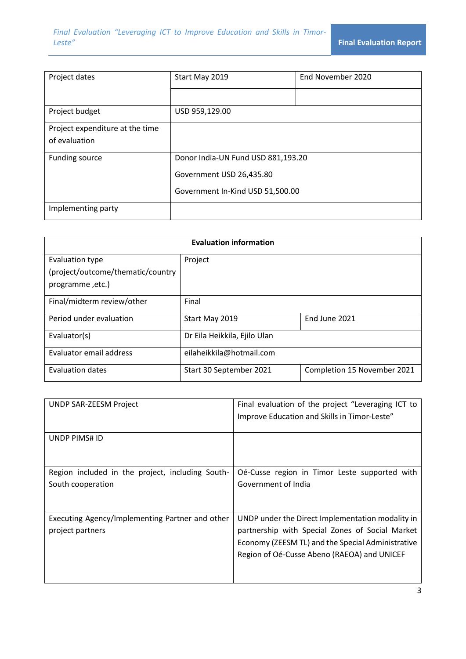| Project dates                                    | Start May 2019                                                                                     | End November 2020 |
|--------------------------------------------------|----------------------------------------------------------------------------------------------------|-------------------|
|                                                  |                                                                                                    |                   |
| Project budget                                   | USD 959,129.00                                                                                     |                   |
| Project expenditure at the time<br>of evaluation |                                                                                                    |                   |
| Funding source                                   | Donor India-UN Fund USD 881,193.20<br>Government USD 26,435.80<br>Government In-Kind USD 51,500.00 |                   |
| Implementing party                               |                                                                                                    |                   |

| <b>Evaluation information</b>     |                              |                             |
|-----------------------------------|------------------------------|-----------------------------|
| Evaluation type                   | Project                      |                             |
| (project/outcome/thematic/country |                              |                             |
| programme, etc.)                  |                              |                             |
| Final/midterm review/other        | Final                        |                             |
| Period under evaluation           | Start May 2019               | End June 2021               |
| Evaluator(s)                      | Dr Eila Heikkila, Ejilo Ulan |                             |
| Evaluator email address           | eilaheikkila@hotmail.com     |                             |
| <b>Evaluation dates</b>           | Start 30 September 2021      | Completion 15 November 2021 |

| UNDP SAR-ZEESM Project                                                | Final evaluation of the project "Leveraging ICT to<br>Improve Education and Skills in Timor-Leste"                                                                                                      |
|-----------------------------------------------------------------------|---------------------------------------------------------------------------------------------------------------------------------------------------------------------------------------------------------|
| UNDP PIMS# ID                                                         |                                                                                                                                                                                                         |
| Region included in the project, including South-<br>South cooperation | Oé-Cusse region in Timor Leste supported with<br>Government of India                                                                                                                                    |
| Executing Agency/Implementing Partner and other<br>project partners   | UNDP under the Direct Implementation modality in<br>partnership with Special Zones of Social Market<br>Economy (ZEESM TL) and the Special Administrative<br>Region of Oé-Cusse Abeno (RAEOA) and UNICEF |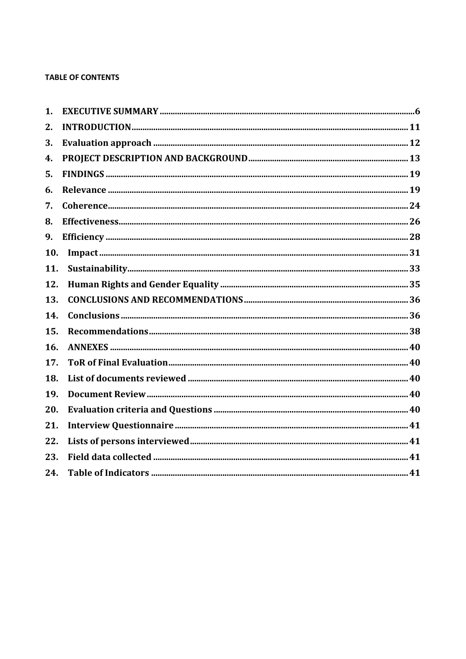### **TABLE OF CONTENTS**

| 1.  |  |
|-----|--|
| 2.  |  |
| 3.  |  |
| 4.  |  |
| 5.  |  |
| 6.  |  |
| 7.  |  |
| 8.  |  |
| 9.  |  |
| 10. |  |
| 11. |  |
| 12. |  |
| 13. |  |
| 14. |  |
| 15. |  |
| 16. |  |
| 17. |  |
| 18. |  |
| 19. |  |
| 20. |  |
| 21. |  |
| 22. |  |
| 23. |  |
| 24. |  |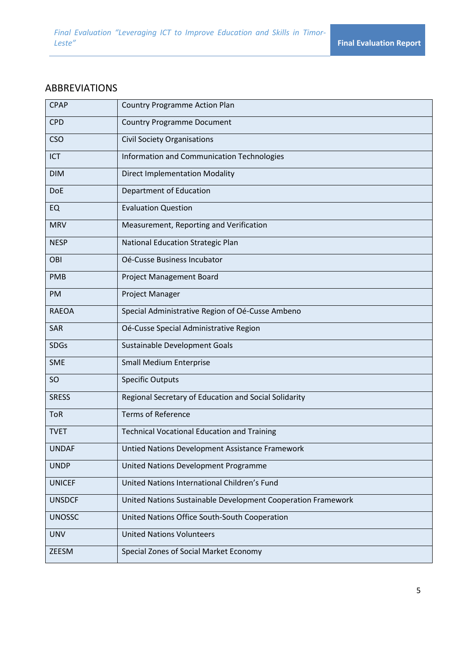## ABBREVIATIONS

| <b>CPAP</b>   | <b>Country Programme Action Plan</b>                         |
|---------------|--------------------------------------------------------------|
| <b>CPD</b>    | <b>Country Programme Document</b>                            |
| <b>CSO</b>    | <b>Civil Society Organisations</b>                           |
| <b>ICT</b>    | Information and Communication Technologies                   |
| <b>DIM</b>    | <b>Direct Implementation Modality</b>                        |
| <b>DoE</b>    | Department of Education                                      |
| <b>EQ</b>     | <b>Evaluation Question</b>                                   |
| <b>MRV</b>    | Measurement, Reporting and Verification                      |
| <b>NESP</b>   | National Education Strategic Plan                            |
| OBI           | Oé-Cusse Business Incubator                                  |
| <b>PMB</b>    | Project Management Board                                     |
| <b>PM</b>     | Project Manager                                              |
| <b>RAEOA</b>  | Special Administrative Region of Oé-Cusse Ambeno             |
| <b>SAR</b>    | Oé-Cusse Special Administrative Region                       |
| <b>SDGs</b>   | Sustainable Development Goals                                |
| <b>SME</b>    | <b>Small Medium Enterprise</b>                               |
| <sub>SO</sub> | <b>Specific Outputs</b>                                      |
| <b>SRESS</b>  | Regional Secretary of Education and Social Solidarity        |
| <b>ToR</b>    | <b>Terms of Reference</b>                                    |
| <b>TVET</b>   | <b>Technical Vocational Education and Training</b>           |
| <b>UNDAF</b>  | Untied Nations Development Assistance Framework              |
| <b>UNDP</b>   | United Nations Development Programme                         |
| <b>UNICEF</b> | United Nations International Children's Fund                 |
| <b>UNSDCF</b> | United Nations Sustainable Development Cooperation Framework |
| <b>UNOSSC</b> | United Nations Office South-South Cooperation                |
| <b>UNV</b>    | <b>United Nations Volunteers</b>                             |
| ZEESM         | Special Zones of Social Market Economy                       |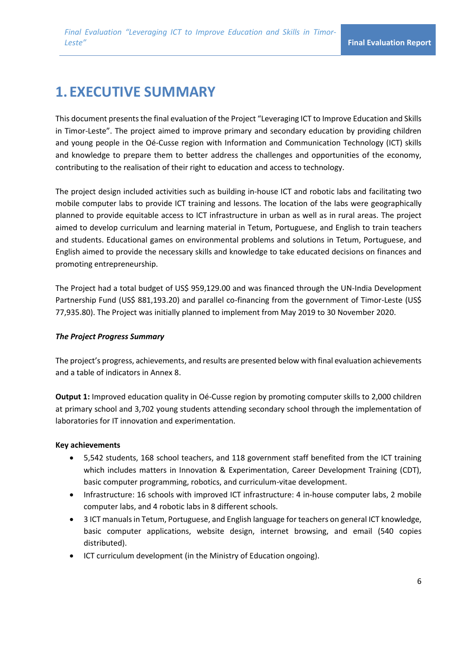# **1. EXECUTIVE SUMMARY**

This document presents the final evaluation of the Project "Leveraging ICT to Improve Education and Skills in Timor-Leste". The project aimed to improve primary and secondary education by providing children and young people in the Oé-Cusse region with Information and Communication Technology (ICT) skills and knowledge to prepare them to better address the challenges and opportunities of the economy, contributing to the realisation of their right to education and access to technology.

The project design included activities such as building in-house ICT and robotic labs and facilitating two mobile computer labs to provide ICT training and lessons. The location of the labs were geographically planned to provide equitable access to ICT infrastructure in urban as well as in rural areas. The project aimed to develop curriculum and learning material in Tetum, Portuguese, and English to train teachers and students. Educational games on environmental problems and solutions in Tetum, Portuguese, and English aimed to provide the necessary skills and knowledge to take educated decisions on finances and promoting entrepreneurship.

The Project had a total budget of US\$ 959,129.00 and was financed through the UN-India Development Partnership Fund (US\$ 881,193.20) and parallel co-financing from the government of Timor-Leste (US\$ 77,935.80). The Project was initially planned to implement from May 2019 to 30 November 2020.

### *The Project Progress Summary*

The project's progress, achievements, and results are presented below with final evaluation achievements and a table of indicators in Annex 8.

**Output 1:** Improved education quality in Oé-Cusse region by promoting computer skills to 2,000 children at primary school and 3,702 young students attending secondary school through the implementation of laboratories for IT innovation and experimentation.

### **Key achievements**

- 5,542 students, 168 school teachers, and 118 government staff benefited from the ICT training which includes matters in Innovation & Experimentation, Career Development Training (CDT), basic computer programming, robotics, and curriculum-vitae development.
- Infrastructure: 16 schools with improved ICT infrastructure: 4 in-house computer labs, 2 mobile computer labs, and 4 robotic labs in 8 different schools.
- 3 ICT manuals in Tetum, Portuguese, and English language for teachers on general ICT knowledge, basic computer applications, website design, internet browsing, and email (540 copies distributed).
- ICT curriculum development (in the Ministry of Education ongoing).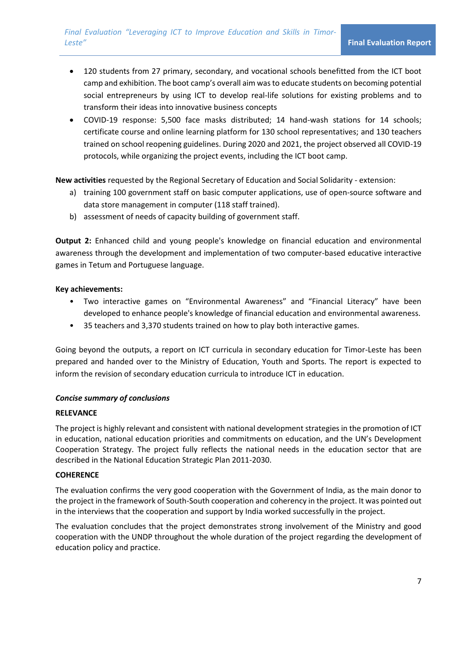*Final Evaluation "Leveraging ICT to Improve Education and Skills in Timor-Leste"* **Final Evaluation Report**

- 120 students from 27 primary, secondary, and vocational schools benefitted from the ICT boot camp and exhibition. The boot camp's overall aim was to educate students on becoming potential social entrepreneurs by using ICT to develop real-life solutions for existing problems and to transform their ideas into innovative business concepts
- COVID-19 response: 5,500 face masks distributed; 14 hand-wash stations for 14 schools; certificate course and online learning platform for 130 school representatives; and 130 teachers trained on school reopening guidelines. During 2020 and 2021, the project observed all COVID-19 protocols, while organizing the project events, including the ICT boot camp.

**New activities** requested by the Regional Secretary of Education and Social Solidarity - extension:

- a) training 100 government staff on basic computer applications, use of open-source software and data store management in computer (118 staff trained).
- b) assessment of needs of capacity building of government staff.

**Output 2:** Enhanced child and young people's knowledge on financial education and environmental awareness through the development and implementation of two computer-based educative interactive games in Tetum and Portuguese language.

### **Key achievements:**

- Two interactive games on "Environmental Awareness" and "Financial Literacy" have been developed to enhance people's knowledge of financial education and environmental awareness.
- 35 teachers and 3,370 students trained on how to play both interactive games.

Going beyond the outputs, a report on ICT curricula in secondary education for Timor-Leste has been prepared and handed over to the Ministry of Education, Youth and Sports. The report is expected to inform the revision of secondary education curricula to introduce ICT in education.

### *Concise summary of conclusions*

#### **RELEVANCE**

The project is highly relevant and consistent with national development strategies in the promotion of ICT in education, national education priorities and commitments on education, and the UN's Development Cooperation Strategy. The project fully reflects the national needs in the education sector that are described in the National Education Strategic Plan 2011-2030.

### **COHERENCE**

The evaluation confirms the very good cooperation with the Government of India, as the main donor to the project in the framework of South-South cooperation and coherency in the project. It was pointed out in the interviews that the cooperation and support by India worked successfully in the project.

The evaluation concludes that the project demonstrates strong involvement of the Ministry and good cooperation with the UNDP throughout the whole duration of the project regarding the development of education policy and practice.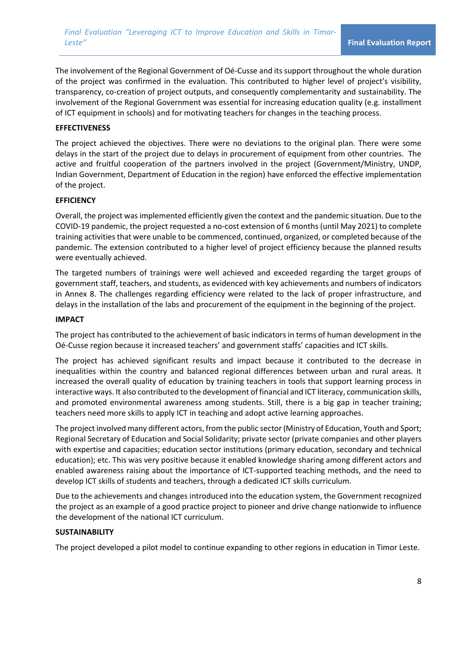The involvement of the Regional Government of Oé-Cusse and its support throughout the whole duration of the project was confirmed in the evaluation. This contributed to higher level of project's visibility, transparency, co-creation of project outputs, and consequently complementarity and sustainability. The involvement of the Regional Government was essential for increasing education quality (e.g. installment of ICT equipment in schools) and for motivating teachers for changes in the teaching process.

### **EFFECTIVENESS**

The project achieved the objectives. There were no deviations to the original plan. There were some delays in the start of the project due to delays in procurement of equipment from other countries. The active and fruitful cooperation of the partners involved in the project (Government/Ministry, UNDP, Indian Government, Department of Education in the region) have enforced the effective implementation of the project.

#### **EFFICIENCY**

Overall, the project was implemented efficiently given the context and the pandemic situation. Due to the COVID-19 pandemic, the project requested a no-cost extension of 6 months (until May 2021) to complete training activities that were unable to be commenced, continued, organized, or completed because of the pandemic. The extension contributed to a higher level of project efficiency because the planned results were eventually achieved.

The targeted numbers of trainings were well achieved and exceeded regarding the target groups of government staff, teachers, and students, as evidenced with key achievements and numbers of indicators in Annex 8. The challenges regarding efficiency were related to the lack of proper infrastructure, and delays in the installation of the labs and procurement of the equipment in the beginning of the project.

#### **IMPACT**

The project has contributed to the achievement of basic indicators in terms of human development in the Oé-Cusse region because it increased teachers' and government staffs' capacities and ICT skills.

The project has achieved significant results and impact because it contributed to the decrease in inequalities within the country and balanced regional differences between urban and rural areas. It increased the overall quality of education by training teachers in tools that support learning process in interactive ways. It also contributed to the development of financial and ICT literacy, communication skills, and promoted environmental awareness among students. Still, there is a big gap in teacher training; teachers need more skills to apply ICT in teaching and adopt active learning approaches.

The project involved many different actors, from the public sector (Ministry of Education, Youth and Sport; Regional Secretary of Education and Social Solidarity; private sector (private companies and other players with expertise and capacities; education sector institutions (primary education, secondary and technical education); etc. This was very positive because it enabled knowledge sharing among different actors and enabled awareness raising about the importance of ICT-supported teaching methods, and the need to develop ICT skills of students and teachers, through a dedicated ICT skills curriculum.

Due to the achievements and changes introduced into the education system, the Government recognized the project as an example of a good practice project to pioneer and drive change nationwide to influence the development of the national ICT curriculum.

### **SUSTAINABILITY**

The project developed a pilot model to continue expanding to other regions in education in Timor Leste.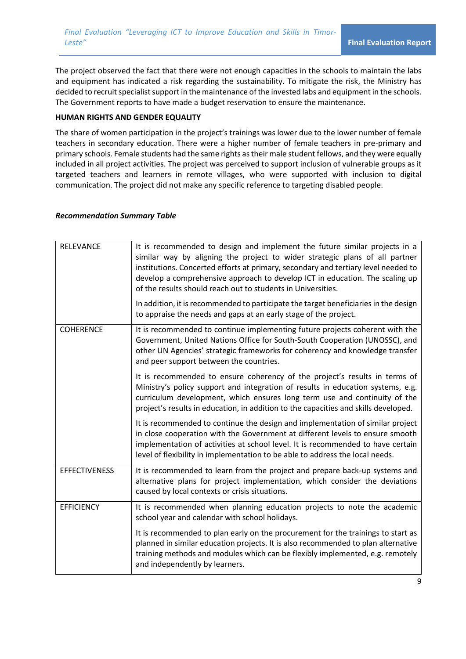The project observed the fact that there were not enough capacities in the schools to maintain the labs and equipment has indicated a risk regarding the sustainability. To mitigate the risk, the Ministry has decided to recruit specialist support in the maintenance of the invested labs and equipment in the schools. The Government reports to have made a budget reservation to ensure the maintenance.

### **HUMAN RIGHTS AND GENDER EQUALITY**

The share of women participation in the project's trainings was lower due to the lower number of female teachers in secondary education. There were a higher number of female teachers in pre-primary and primary schools. Female students had the same rights as their male student fellows, and they were equally included in all project activities. The project was perceived to support inclusion of vulnerable groups as it targeted teachers and learners in remote villages, who were supported with inclusion to digital communication. The project did not make any specific reference to targeting disabled people.

#### *Recommendation Summary Table*

| <b>RELEVANCE</b>     | It is recommended to design and implement the future similar projects in a<br>similar way by aligning the project to wider strategic plans of all partner<br>institutions. Concerted efforts at primary, secondary and tertiary level needed to<br>develop a comprehensive approach to develop ICT in education. The scaling up<br>of the results should reach out to students in Universities. |
|----------------------|-------------------------------------------------------------------------------------------------------------------------------------------------------------------------------------------------------------------------------------------------------------------------------------------------------------------------------------------------------------------------------------------------|
|                      | In addition, it is recommended to participate the target beneficiaries in the design<br>to appraise the needs and gaps at an early stage of the project.                                                                                                                                                                                                                                        |
| <b>COHERENCE</b>     | It is recommended to continue implementing future projects coherent with the<br>Government, United Nations Office for South-South Cooperation (UNOSSC), and<br>other UN Agencies' strategic frameworks for coherency and knowledge transfer<br>and peer support between the countries.                                                                                                          |
|                      | It is recommended to ensure coherency of the project's results in terms of<br>Ministry's policy support and integration of results in education systems, e.g.<br>curriculum development, which ensures long term use and continuity of the<br>project's results in education, in addition to the capacities and skills developed.                                                               |
|                      | It is recommended to continue the design and implementation of similar project<br>in close cooperation with the Government at different levels to ensure smooth<br>implementation of activities at school level. It is recommended to have certain<br>level of flexibility in implementation to be able to address the local needs.                                                             |
| <b>EFFECTIVENESS</b> | It is recommended to learn from the project and prepare back-up systems and<br>alternative plans for project implementation, which consider the deviations<br>caused by local contexts or crisis situations.                                                                                                                                                                                    |
| <b>EFFICIENCY</b>    | It is recommended when planning education projects to note the academic<br>school year and calendar with school holidays.                                                                                                                                                                                                                                                                       |
|                      | It is recommended to plan early on the procurement for the trainings to start as<br>planned in similar education projects. It is also recommended to plan alternative<br>training methods and modules which can be flexibly implemented, e.g. remotely<br>and independently by learners.                                                                                                        |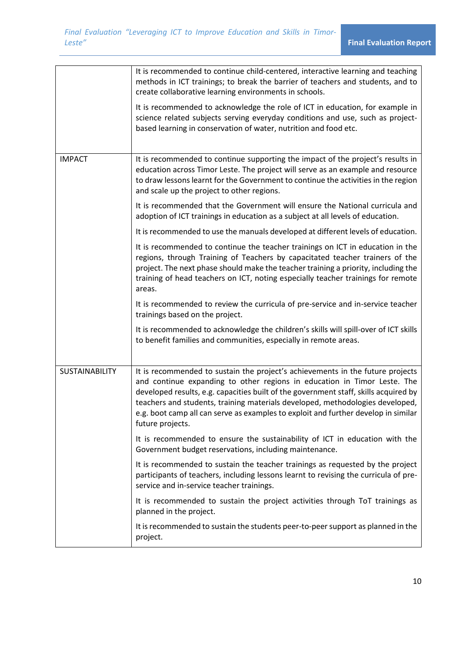|                       | It is recommended to continue child-centered, interactive learning and teaching<br>methods in ICT trainings; to break the barrier of teachers and students, and to<br>create collaborative learning environments in schools.<br>It is recommended to acknowledge the role of ICT in education, for example in<br>science related subjects serving everyday conditions and use, such as project-<br>based learning in conservation of water, nutrition and food etc. |
|-----------------------|---------------------------------------------------------------------------------------------------------------------------------------------------------------------------------------------------------------------------------------------------------------------------------------------------------------------------------------------------------------------------------------------------------------------------------------------------------------------|
| <b>IMPACT</b>         | It is recommended to continue supporting the impact of the project's results in<br>education across Timor Leste. The project will serve as an example and resource<br>to draw lessons learnt for the Government to continue the activities in the region<br>and scale up the project to other regions.                                                                                                                                                              |
|                       | It is recommended that the Government will ensure the National curricula and<br>adoption of ICT trainings in education as a subject at all levels of education.                                                                                                                                                                                                                                                                                                     |
|                       | It is recommended to use the manuals developed at different levels of education.                                                                                                                                                                                                                                                                                                                                                                                    |
|                       | It is recommended to continue the teacher trainings on ICT in education in the<br>regions, through Training of Teachers by capacitated teacher trainers of the<br>project. The next phase should make the teacher training a priority, including the<br>training of head teachers on ICT, noting especially teacher trainings for remote<br>areas.                                                                                                                  |
|                       | It is recommended to review the curricula of pre-service and in-service teacher<br>trainings based on the project.                                                                                                                                                                                                                                                                                                                                                  |
|                       | It is recommended to acknowledge the children's skills will spill-over of ICT skills<br>to benefit families and communities, especially in remote areas.                                                                                                                                                                                                                                                                                                            |
| <b>SUSTAINABILITY</b> | It is recommended to sustain the project's achievements in the future projects<br>and continue expanding to other regions in education in Timor Leste. The<br>developed results, e.g. capacities built of the government staff, skills acquired by<br>teachers and students, training materials developed, methodologies developed,<br>e.g. boot camp all can serve as examples to exploit and further develop in similar<br>future projects.                       |
|                       | It is recommended to ensure the sustainability of ICT in education with the<br>Government budget reservations, including maintenance.                                                                                                                                                                                                                                                                                                                               |
|                       | It is recommended to sustain the teacher trainings as requested by the project<br>participants of teachers, including lessons learnt to revising the curricula of pre-<br>service and in-service teacher trainings.                                                                                                                                                                                                                                                 |
|                       | It is recommended to sustain the project activities through ToT trainings as<br>planned in the project.                                                                                                                                                                                                                                                                                                                                                             |
|                       | It is recommended to sustain the students peer-to-peer support as planned in the<br>project.                                                                                                                                                                                                                                                                                                                                                                        |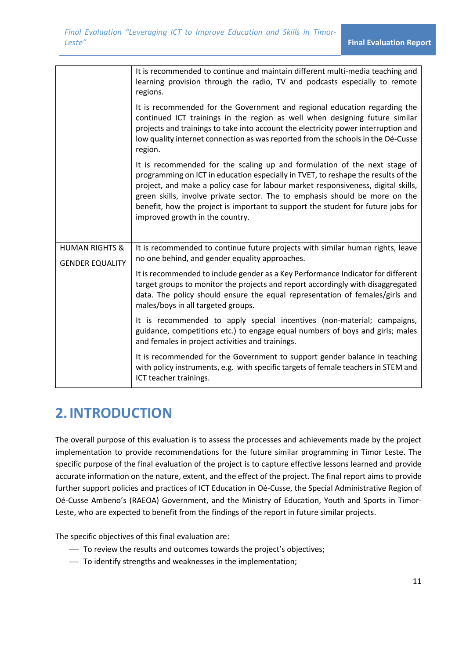|                                                     | It is recommended to continue and maintain different multi-media teaching and<br>learning provision through the radio, TV and podcasts especially to remote<br>regions.                                                                                                                                                                                                                                                                                   |
|-----------------------------------------------------|-----------------------------------------------------------------------------------------------------------------------------------------------------------------------------------------------------------------------------------------------------------------------------------------------------------------------------------------------------------------------------------------------------------------------------------------------------------|
|                                                     | It is recommended for the Government and regional education regarding the<br>continued ICT trainings in the region as well when designing future similar<br>projects and trainings to take into account the electricity power interruption and<br>low quality internet connection as was reported from the schools in the Oé-Cusse<br>region.                                                                                                             |
|                                                     | It is recommended for the scaling up and formulation of the next stage of<br>programming on ICT in education especially in TVET, to reshape the results of the<br>project, and make a policy case for labour market responsiveness, digital skills,<br>green skills, involve private sector. The to emphasis should be more on the<br>benefit, how the project is important to support the student for future jobs for<br>improved growth in the country. |
| <b>HUMAN RIGHTS &amp;</b><br><b>GENDER EQUALITY</b> | It is recommended to continue future projects with similar human rights, leave<br>no one behind, and gender equality approaches.                                                                                                                                                                                                                                                                                                                          |
|                                                     | It is recommended to include gender as a Key Performance Indicator for different<br>target groups to monitor the projects and report accordingly with disaggregated<br>data. The policy should ensure the equal representation of females/girls and<br>males/boys in all targeted groups.                                                                                                                                                                 |
|                                                     | It is recommended to apply special incentives (non-material; campaigns,<br>guidance, competitions etc.) to engage equal numbers of boys and girls; males<br>and females in project activities and trainings.                                                                                                                                                                                                                                              |
|                                                     | It is recommended for the Government to support gender balance in teaching<br>with policy instruments, e.g. with specific targets of female teachers in STEM and<br>ICT teacher trainings.                                                                                                                                                                                                                                                                |

# **2.INTRODUCTION**

The overall purpose of this evaluation is to assess the processes and achievements made by the project implementation to provide recommendations for the future similar programming in Timor Leste. The specific purpose of the final evaluation of the project is to capture effective lessons learned and provide accurate information on the nature, extent, and the effect of the project. The final report aims to provide further support policies and practices of ICT Education in Oé-Cusse, the Special Administrative Region of Oé-Cusse Ambeno's (RAEOA) Government, and the Ministry of Education, Youth and Sports in Timor-Leste, who are expected to benefit from the findings of the report in future similar projects.

The specific objectives of this final evaluation are:

- ⎯ To review the results and outcomes towards the project's objectives;
- ⎯ To identify strengths and weaknesses in the implementation;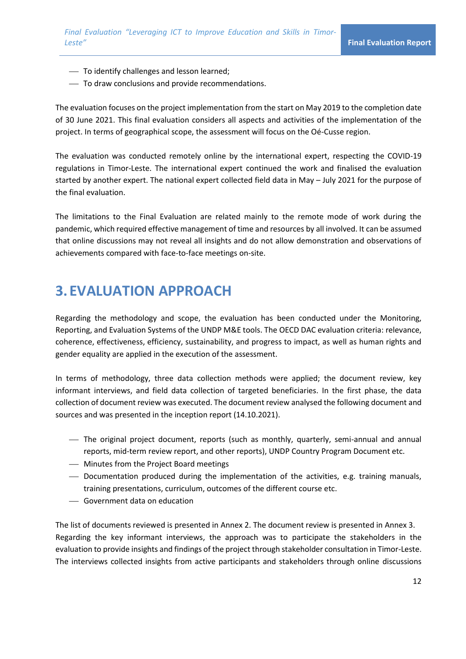- ⎯ To identify challenges and lesson learned;
- ⎯ To draw conclusions and provide recommendations.

The evaluation focuses on the project implementation from the start on May 2019 to the completion date of 30 June 2021. This final evaluation considers all aspects and activities of the implementation of the project. In terms of geographical scope, the assessment will focus on the Oé-Cusse region.

The evaluation was conducted remotely online by the international expert, respecting the COVID-19 regulations in Timor-Leste. The international expert continued the work and finalised the evaluation started by another expert. The national expert collected field data in May – July 2021 for the purpose of the final evaluation.

The limitations to the Final Evaluation are related mainly to the remote mode of work during the pandemic, which required effective management of time and resources by all involved. It can be assumed that online discussions may not reveal all insights and do not allow demonstration and observations of achievements compared with face-to-face meetings on-site.

## **3. EVALUATION APPROACH**

Regarding the methodology and scope, the evaluation has been conducted under the Monitoring, Reporting, and Evaluation Systems of the UNDP M&E tools. The OECD DAC evaluation criteria: relevance, coherence, effectiveness, efficiency, sustainability, and progress to impact, as well as human rights and gender equality are applied in the execution of the assessment.

In terms of methodology, three data collection methods were applied; the document review, key informant interviews, and field data collection of targeted beneficiaries. In the first phase, the data collection of document review was executed. The document review analysed the following document and sources and was presented in the inception report (14.10.2021).

- ⎯ The original project document, reports (such as monthly, quarterly, semi-annual and annual reports, mid-term review report, and other reports), UNDP Country Program Document etc.
- ⎯ Minutes from the Project Board meetings
- ⎯ Documentation produced during the implementation of the activities, e.g. training manuals, training presentations, curriculum, outcomes of the different course etc.
- ⎯ Government data on education

The list of documents reviewed is presented in Annex 2. The document review is presented in Annex 3. Regarding the key informant interviews, the approach was to participate the stakeholders in the evaluation to provide insights and findings of the project through stakeholder consultation in Timor-Leste. The interviews collected insights from active participants and stakeholders through online discussions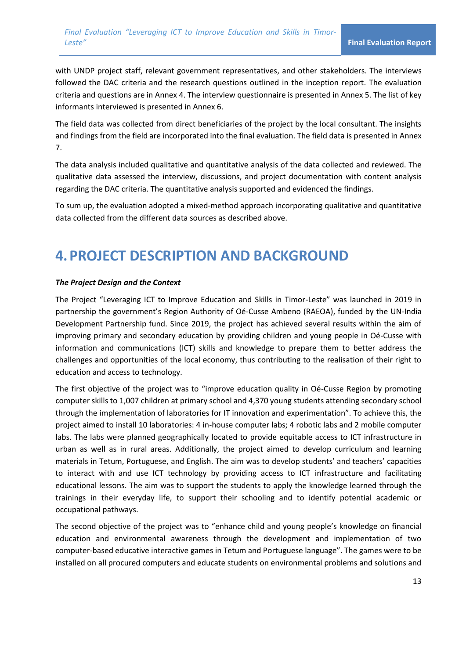with UNDP project staff, relevant government representatives, and other stakeholders. The interviews followed the DAC criteria and the research questions outlined in the inception report. The evaluation criteria and questions are in Annex 4. The interview questionnaire is presented in Annex 5. The list of key informants interviewed is presented in Annex 6.

The field data was collected from direct beneficiaries of the project by the local consultant. The insights and findings from the field are incorporated into the final evaluation. The field data is presented in Annex 7.

The data analysis included qualitative and quantitative analysis of the data collected and reviewed. The qualitative data assessed the interview, discussions, and project documentation with content analysis regarding the DAC criteria. The quantitative analysis supported and evidenced the findings.

To sum up, the evaluation adopted a mixed-method approach incorporating qualitative and quantitative data collected from the different data sources as described above.

## **4.PROJECT DESCRIPTION AND BACKGROUND**

#### *The Project Design and the Context*

The Project "Leveraging ICT to Improve Education and Skills in Timor-Leste" was launched in 2019 in partnership the government's Region Authority of Oé-Cusse Ambeno (RAEOA), funded by the UN-India Development Partnership fund. Since 2019, the project has achieved several results within the aim of improving primary and secondary education by providing children and young people in Oé-Cusse with information and communications (ICT) skills and knowledge to prepare them to better address the challenges and opportunities of the local economy, thus contributing to the realisation of their right to education and access to technology.

The first objective of the project was to "improve education quality in Oé-Cusse Region by promoting computer skills to 1,007 children at primary school and 4,370 young students attending secondary school through the implementation of laboratories for IT innovation and experimentation". To achieve this, the project aimed to install 10 laboratories: 4 in-house computer labs; 4 robotic labs and 2 mobile computer labs. The labs were planned geographically located to provide equitable access to ICT infrastructure in urban as well as in rural areas. Additionally, the project aimed to develop curriculum and learning materials in Tetum, Portuguese, and English. The aim was to develop students' and teachers' capacities to interact with and use ICT technology by providing access to ICT infrastructure and facilitating educational lessons. The aim was to support the students to apply the knowledge learned through the trainings in their everyday life, to support their schooling and to identify potential academic or occupational pathways.

The second objective of the project was to "enhance child and young people's knowledge on financial education and environmental awareness through the development and implementation of two computer-based educative interactive games in Tetum and Portuguese language". The games were to be installed on all procured computers and educate students on environmental problems and solutions and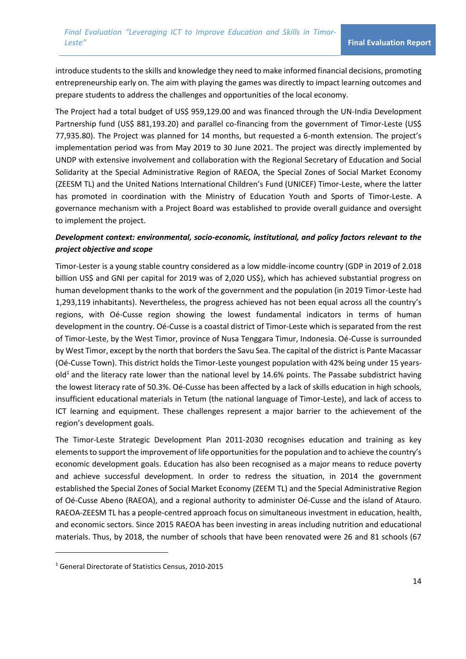introduce students to the skills and knowledge they need to make informed financial decisions, promoting entrepreneurship early on. The aim with playing the games was directly to impact learning outcomes and prepare students to address the challenges and opportunities of the local economy.

The Project had a total budget of US\$ 959,129.00 and was financed through the UN-India Development Partnership fund (US\$ 881,193.20) and parallel co-financing from the government of Timor-Leste (US\$ 77,935.80). The Project was planned for 14 months, but requested a 6-month extension. The project's implementation period was from May 2019 to 30 June 2021. The project was directly implemented by UNDP with extensive involvement and collaboration with the Regional Secretary of Education and Social Solidarity at the Special Administrative Region of RAEOA, the Special Zones of Social Market Economy (ZEESM TL) and the United Nations International Children's Fund (UNICEF) Timor-Leste, where the latter has promoted in coordination with the Ministry of Education Youth and Sports of Timor-Leste. A governance mechanism with a Project Board was established to provide overall guidance and oversight to implement the project.

## *Development context: environmental, socio-economic, institutional, and policy factors relevant to the project objective and scope*

Timor-Lester is a young stable country considered as a low middle-income country (GDP in 2019 of 2.018 billion US\$ and GNI per capital for 2019 was of 2,020 US\$), which has achieved substantial progress on human development thanks to the work of the government and the population (in 2019 Timor-Leste had 1,293,119 inhabitants). Nevertheless, the progress achieved has not been equal across all the country's regions, with Oé-Cusse region showing the lowest fundamental indicators in terms of human development in the country. Oé-Cusse is a coastal district of Timor-Leste which is separated from the rest of Timor-Leste, by the West Timor, province of Nusa Tenggara Timur, Indonesia. Oé-Cusse is surrounded by West Timor, except by the north that borders the Savu Sea. The capital of the district is Pante Macassar (Oé-Cusse Town). This district holds the Timor-Leste youngest population with 42% being under 15 years $old<sup>1</sup>$  and the literacy rate lower than the national level by 14.6% points. The Passabe subdistrict having the lowest literacy rate of 50.3%. Oé-Cusse has been affected by a lack of skills education in high schools, insufficient educational materials in Tetum (the national language of Timor-Leste), and lack of access to ICT learning and equipment. These challenges represent a major barrier to the achievement of the region's development goals.

The Timor-Leste Strategic Development Plan 2011-2030 recognises education and training as key elements to support the improvement of life opportunities for the population and to achieve the country's economic development goals. Education has also been recognised as a major means to reduce poverty and achieve successful development. In order to redress the situation, in 2014 the government established the Special Zones of Social Market Economy (ZEEM TL) and the Special Administrative Region of Oé-Cusse Abeno (RAEOA), and a regional authority to administer Oé-Cusse and the island of Atauro. RAEOA-ZEESM TL has a people-centred approach focus on simultaneous investment in education, health, and economic sectors. Since 2015 RAEOA has been investing in areas including nutrition and educational materials. Thus, by 2018, the number of schools that have been renovated were 26 and 81 schools (67

<sup>1</sup> General Directorate of Statistics Census, 2010-2015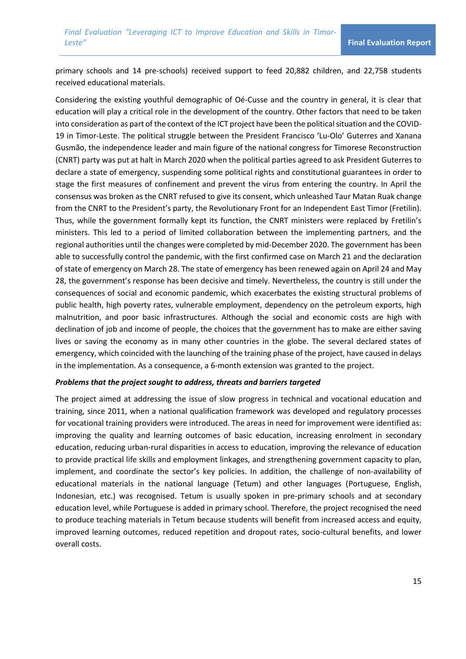primary schools and 14 pre-schools) received support to feed 20,882 children, and 22,758 students received educational materials.

Considering the existing youthful demographic of Oé-Cusse and the country in general, it is clear that education will play a critical role in the development of the country. Other factors that need to be taken into consideration as part of the context of the ICT project have been the political situation and the COVID-19 in Timor-Leste. The political struggle between the President Francisco 'Lu-Olo' Guterres and Xanana Gusmão, the independence leader and main figure of the national congress for Timorese Reconstruction (CNRT) party was put at halt in March 2020 when the political parties agreed to ask President Guterres to declare a state of emergency, suspending some political rights and constitutional guarantees in order to stage the first measures of confinement and prevent the virus from entering the country. In April the consensus was broken as the CNRT refused to give its consent, which unleashed Taur Matan Ruak change from the CNRT to the President's party, the Revolutionary Front for an Independent East Timor (Fretilin). Thus, while the government formally kept its function, the CNRT ministers were replaced by Fretilin's ministers. This led to a period of limited collaboration between the implementing partners, and the regional authorities until the changes were completed by mid-December 2020. The government has been able to successfully control the pandemic, with the first confirmed case on March 21 and the declaration of state of emergency on March 28. The state of emergency has been renewed again on April 24 and May 28, the government's response has been decisive and timely. Nevertheless, the country is still under the consequences of social and economic pandemic, which exacerbates the existing structural problems of public health, high poverty rates, vulnerable employment, dependency on the petroleum exports, high malnutrition, and poor basic infrastructures. Although the social and economic costs are high with declination of job and income of people, the choices that the government has to make are either saving lives or saving the economy as in many other countries in the globe. The several declared states of emergency, which coincided with the launching of the training phase of the project, have caused in delays in the implementation. As a consequence, a 6-month extension was granted to the project.

#### *Problems that the project sought to address, threats and barriers targeted*

The project aimed at addressing the issue of slow progress in technical and vocational education and training, since 2011, when a national qualification framework was developed and regulatory processes for vocational training providers were introduced. The areas in need for improvement were identified as: improving the quality and learning outcomes of basic education, increasing enrolment in secondary education, reducing urban-rural disparities in access to education, improving the relevance of education to provide practical life skills and employment linkages, and strengthening government capacity to plan, implement, and coordinate the sector's key policies. In addition, the challenge of non-availability of educational materials in the national language (Tetum) and other languages (Portuguese, English, Indonesian, etc.) was recognised. Tetum is usually spoken in pre-primary schools and at secondary education level, while Portuguese is added in primary school. Therefore, the project recognised the need to produce teaching materials in Tetum because students will benefit from increased access and equity, improved learning outcomes, reduced repetition and dropout rates, socio-cultural benefits, and lower overall costs.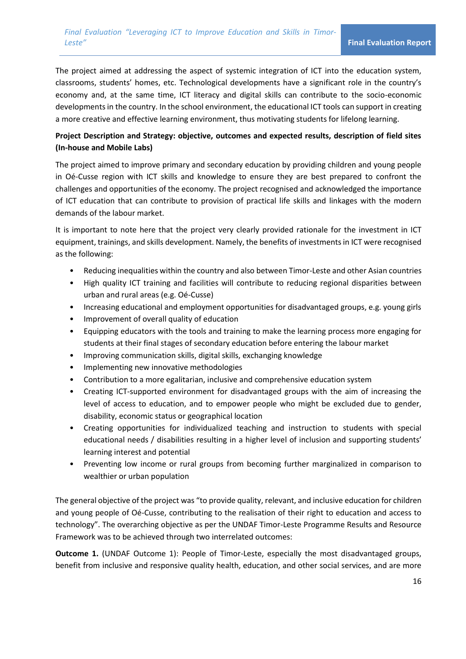The project aimed at addressing the aspect of systemic integration of ICT into the education system, classrooms, students' homes, etc. Technological developments have a significant role in the country's economy and, at the same time, ICT literacy and digital skills can contribute to the socio-economic developments in the country. In the school environment, the educational ICT tools can support in creating a more creative and effective learning environment, thus motivating students for lifelong learning.

## **Project Description and Strategy: objective, outcomes and expected results, description of field sites (In-house and Mobile Labs)**

The project aimed to improve primary and secondary education by providing children and young people in Oé-Cusse region with ICT skills and knowledge to ensure they are best prepared to confront the challenges and opportunities of the economy. The project recognised and acknowledged the importance of ICT education that can contribute to provision of practical life skills and linkages with the modern demands of the labour market.

It is important to note here that the project very clearly provided rationale for the investment in ICT equipment, trainings, and skills development. Namely, the benefits of investments in ICT were recognised as the following:

- Reducing inequalities within the country and also between Timor-Leste and other Asian countries
- High quality ICT training and facilities will contribute to reducing regional disparities between urban and rural areas (e.g. Oé-Cusse)
- Increasing educational and employment opportunities for disadvantaged groups, e.g. young girls
- Improvement of overall quality of education
- Equipping educators with the tools and training to make the learning process more engaging for students at their final stages of secondary education before entering the labour market
- Improving communication skills, digital skills, exchanging knowledge
- Implementing new innovative methodologies
- Contribution to a more egalitarian, inclusive and comprehensive education system
- Creating ICT-supported environment for disadvantaged groups with the aim of increasing the level of access to education, and to empower people who might be excluded due to gender, disability, economic status or geographical location
- Creating opportunities for individualized teaching and instruction to students with special educational needs / disabilities resulting in a higher level of inclusion and supporting students' learning interest and potential
- Preventing low income or rural groups from becoming further marginalized in comparison to wealthier or urban population

The general objective of the project was "to provide quality, relevant, and inclusive education for children and young people of Oé-Cusse, contributing to the realisation of their right to education and access to technology". The overarching objective as per the UNDAF Timor-Leste Programme Results and Resource Framework was to be achieved through two interrelated outcomes:

**Outcome 1.** (UNDAF Outcome 1): People of Timor-Leste, especially the most disadvantaged groups, benefit from inclusive and responsive quality health, education, and other social services, and are more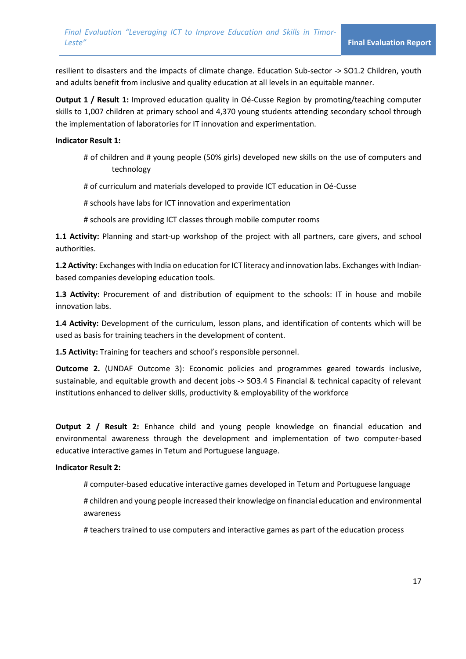resilient to disasters and the impacts of climate change. Education Sub-sector -> SO1.2 Children, youth and adults benefit from inclusive and quality education at all levels in an equitable manner.

**Output 1 / Result 1:** Improved education quality in Oé-Cusse Region by promoting/teaching computer skills to 1,007 children at primary school and 4,370 young students attending secondary school through the implementation of laboratories for IT innovation and experimentation.

#### **Indicator Result 1:**

- # of children and # young people (50% girls) developed new skills on the use of computers and technology
- # of curriculum and materials developed to provide ICT education in Oé-Cusse
- # schools have labs for ICT innovation and experimentation
- # schools are providing ICT classes through mobile computer rooms

**1.1 Activity:** Planning and start-up workshop of the project with all partners, care givers, and school authorities.

**1.2 Activity:** Exchanges with India on education for ICT literacy and innovation labs. Exchanges with Indianbased companies developing education tools.

**1.3 Activity:** Procurement of and distribution of equipment to the schools: IT in house and mobile innovation labs.

**1.4 Activity:** Development of the curriculum, lesson plans, and identification of contents which will be used as basis for training teachers in the development of content.

**1.5 Activity:** Training for teachers and school's responsible personnel.

**Outcome 2.** (UNDAF Outcome 3): Economic policies and programmes geared towards inclusive, sustainable, and equitable growth and decent jobs -> SO3.4 S Financial & technical capacity of relevant institutions enhanced to deliver skills, productivity & employability of the workforce

**Output 2 / Result 2:** Enhance child and young people knowledge on financial education and environmental awareness through the development and implementation of two computer-based educative interactive games in Tetum and Portuguese language.

#### **Indicator Result 2:**

# computer-based educative interactive games developed in Tetum and Portuguese language

# children and young people increased their knowledge on financial education and environmental awareness

# teachers trained to use computers and interactive games as part of the education process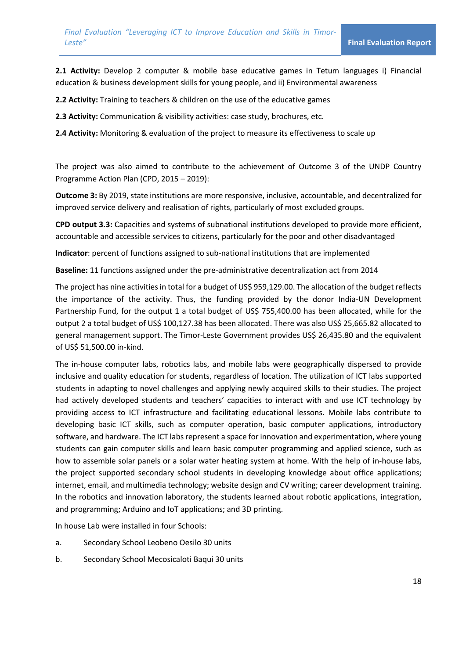**2.1 Activity:** Develop 2 computer & mobile base educative games in Tetum languages i) Financial education & business development skills for young people, and ii) Environmental awareness

**2.2 Activity:** Training to teachers & children on the use of the educative games

**2.3 Activity:** Communication & visibility activities: case study, brochures, etc.

**2.4 Activity:** Monitoring & evaluation of the project to measure its effectiveness to scale up

The project was also aimed to contribute to the achievement of Outcome 3 of the UNDP Country Programme Action Plan (CPD, 2015 – 2019):

**Outcome 3:** By 2019, state institutions are more responsive, inclusive, accountable, and decentralized for improved service delivery and realisation of rights, particularly of most excluded groups.

**CPD output 3.3:** Capacities and systems of subnational institutions developed to provide more efficient, accountable and accessible services to citizens, particularly for the poor and other disadvantaged

**Indicator**: percent of functions assigned to sub-national institutions that are implemented

**Baseline:** 11 functions assigned under the pre-administrative decentralization act from 2014

The project has nine activities in total for a budget of US\$ 959,129.00. The allocation of the budget reflects the importance of the activity. Thus, the funding provided by the donor India-UN Development Partnership Fund, for the output 1 a total budget of US\$ 755,400.00 has been allocated, while for the output 2 a total budget of US\$ 100,127.38 has been allocated. There was also US\$ 25,665.82 allocated to general management support. The Timor-Leste Government provides US\$ 26,435.80 and the equivalent of US\$ 51,500.00 in-kind.

The in-house computer labs, robotics labs, and mobile labs were geographically dispersed to provide inclusive and quality education for students, regardless of location. The utilization of ICT labs supported students in adapting to novel challenges and applying newly acquired skills to their studies. The project had actively developed students and teachers' capacities to interact with and use ICT technology by providing access to ICT infrastructure and facilitating educational lessons. Mobile labs contribute to developing basic ICT skills, such as computer operation, basic computer applications, introductory software, and hardware. The ICT labs represent a space for innovation and experimentation, where young students can gain computer skills and learn basic computer programming and applied science, such as how to assemble solar panels or a solar water heating system at home. With the help of in-house labs, the project supported secondary school students in developing knowledge about office applications; internet, email, and multimedia technology; website design and CV writing; career development training. In the robotics and innovation laboratory, the students learned about robotic applications, integration, and programming; Arduino and IoT applications; and 3D printing.

In house Lab were installed in four Schools:

- a. Secondary School Leobeno Oesilo 30 units
- b. Secondary School Mecosicaloti Baqui 30 units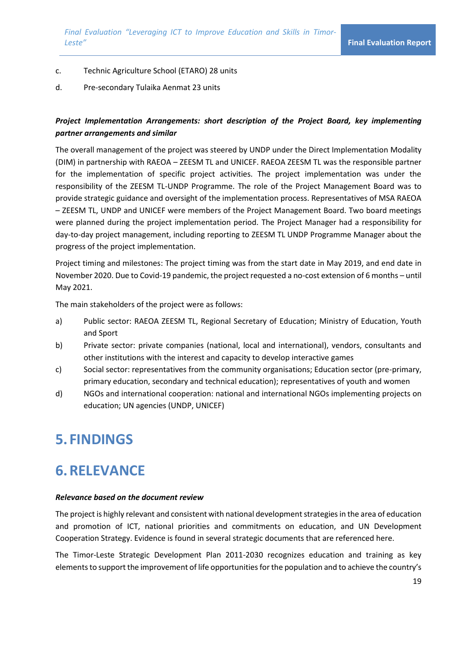### c. Technic Agriculture School (ETARO) 28 units

d. Pre-secondary Tulaika Aenmat 23 units

## *Project Implementation Arrangements: short description of the Project Board, key implementing partner arrangements and similar*

The overall management of the project was steered by UNDP under the Direct Implementation Modality (DIM) in partnership with RAEOA – ZEESM TL and UNICEF. RAEOA ZEESM TL was the responsible partner for the implementation of specific project activities. The project implementation was under the responsibility of the ZEESM TL-UNDP Programme. The role of the Project Management Board was to provide strategic guidance and oversight of the implementation process. Representatives of MSA RAEOA – ZEESM TL, UNDP and UNICEF were members of the Project Management Board. Two board meetings were planned during the project implementation period. The Project Manager had a responsibility for day-to-day project management, including reporting to ZEESM TL UNDP Programme Manager about the progress of the project implementation.

Project timing and milestones: The project timing was from the start date in May 2019, and end date in November 2020. Due to Covid-19 pandemic, the project requested a no-cost extension of 6 months – until May 2021.

The main stakeholders of the project were as follows:

- a) Public sector: RAEOA ZEESM TL, Regional Secretary of Education; Ministry of Education, Youth and Sport
- b) Private sector: private companies (national, local and international), vendors, consultants and other institutions with the interest and capacity to develop interactive games
- c) Social sector: representatives from the community organisations; Education sector (pre-primary, primary education, secondary and technical education); representatives of youth and women
- d) NGOs and international cooperation: national and international NGOs implementing projects on education; UN agencies (UNDP, UNICEF)

## **5. FINDINGS**

## **6.RELEVANCE**

### *Relevance based on the document review*

The project is highly relevant and consistent with national development strategies in the area of education and promotion of ICT, national priorities and commitments on education, and UN Development Cooperation Strategy. Evidence is found in several strategic documents that are referenced here.

The Timor-Leste Strategic Development Plan 2011-2030 recognizes education and training as key elements to support the improvement of life opportunities for the population and to achieve the country's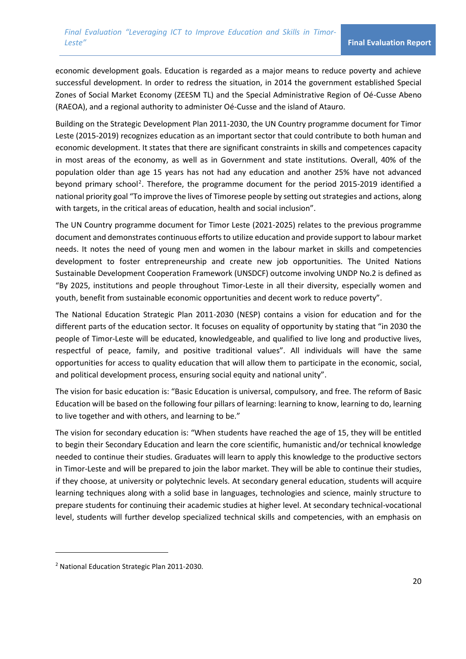economic development goals. Education is regarded as a major means to reduce poverty and achieve successful development. In order to redress the situation, in 2014 the government established Special Zones of Social Market Economy (ZEESM TL) and the Special Administrative Region of Oé-Cusse Abeno (RAEOA), and a regional authority to administer Oé-Cusse and the island of Atauro.

Building on the Strategic Development Plan 2011-2030, the UN Country programme document for Timor Leste (2015-2019) recognizes education as an important sector that could contribute to both human and economic development. It states that there are significant constraints in skills and competences capacity in most areas of the economy, as well as in Government and state institutions. Overall, 40% of the population older than age 15 years has not had any education and another 25% have not advanced beyond primary school<sup>2</sup>. Therefore, the programme document for the period 2015-2019 identified a national priority goal "To improve the lives of Timorese people by setting out strategies and actions, along with targets, in the critical areas of education, health and social inclusion".

The UN Country programme document for Timor Leste (2021-2025) relates to the previous programme document and demonstrates continuous efforts to utilize education and provide support to labour market needs. It notes the need of young men and women in the labour market in skills and competencies development to foster entrepreneurship and create new job opportunities. The United Nations Sustainable Development Cooperation Framework (UNSDCF) outcome involving UNDP No.2 is defined as "By 2025, institutions and people throughout Timor-Leste in all their diversity, especially women and youth, benefit from sustainable economic opportunities and decent work to reduce poverty".

The National Education Strategic Plan 2011-2030 (NESP) contains a vision for education and for the different parts of the education sector. It focuses on equality of opportunity by stating that "in 2030 the people of Timor-Leste will be educated, knowledgeable, and qualified to live long and productive lives, respectful of peace, family, and positive traditional values". All individuals will have the same opportunities for access to quality education that will allow them to participate in the economic, social, and political development process, ensuring social equity and national unity".

The vision for basic education is: "Basic Education is universal, compulsory, and free. The reform of Basic Education will be based on the following four pillars of learning: learning to know, learning to do, learning to live together and with others, and learning to be."

The vision for secondary education is: "When students have reached the age of 15, they will be entitled to begin their Secondary Education and learn the core scientific, humanistic and/or technical knowledge needed to continue their studies. Graduates will learn to apply this knowledge to the productive sectors in Timor-Leste and will be prepared to join the labor market. They will be able to continue their studies, if they choose, at university or polytechnic levels. At secondary general education, students will acquire learning techniques along with a solid base in languages, technologies and science, mainly structure to prepare students for continuing their academic studies at higher level. At secondary technical-vocational level, students will further develop specialized technical skills and competencies, with an emphasis on

<sup>2</sup> National Education Strategic Plan 2011-2030.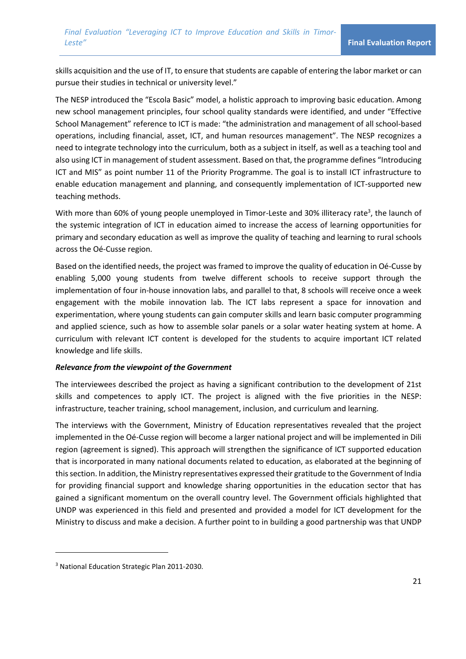skills acquisition and the use of IT, to ensure that students are capable of entering the labor market or can pursue their studies in technical or university level."

The NESP introduced the "Escola Basic" model, a holistic approach to improving basic education. Among new school management principles, four school quality standards were identified, and under "Effective School Management" reference to ICT is made: "the administration and management of all school-based operations, including financial, asset, ICT, and human resources management". The NESP recognizes a need to integrate technology into the curriculum, both as a subject in itself, as well as a teaching tool and also using ICT in management of student assessment. Based on that, the programme defines "Introducing ICT and MIS" as point number 11 of the Priority Programme. The goal is to install ICT infrastructure to enable education management and planning, and consequently implementation of ICT-supported new teaching methods.

With more than 60% of young people unemployed in Timor-Leste and 30% illiteracy rate<sup>3</sup>, the launch of the systemic integration of ICT in education aimed to increase the access of learning opportunities for primary and secondary education as well as improve the quality of teaching and learning to rural schools across the Oé-Cusse region.

Based on the identified needs, the project was framed to improve the quality of education in Oé-Cusse by enabling 5,000 young students from twelve different schools to receive support through the implementation of four in-house innovation labs, and parallel to that, 8 schools will receive once a week engagement with the mobile innovation lab. The ICT labs represent a space for innovation and experimentation, where young students can gain computer skills and learn basic computer programming and applied science, such as how to assemble solar panels or a solar water heating system at home. A curriculum with relevant ICT content is developed for the students to acquire important ICT related knowledge and life skills.

#### *Relevance from the viewpoint of the Government*

The interviewees described the project as having a significant contribution to the development of 21st skills and competences to apply ICT. The project is aligned with the five priorities in the NESP: infrastructure, teacher training, school management, inclusion, and curriculum and learning.

The interviews with the Government, Ministry of Education representatives revealed that the project implemented in the Oé-Cusse region will become a larger national project and will be implemented in Dili region (agreement is signed). This approach will strengthen the significance of ICT supported education that is incorporated in many national documents related to education, as elaborated at the beginning of this section. In addition, the Ministry representatives expressed their gratitude to the Government of India for providing financial support and knowledge sharing opportunities in the education sector that has gained a significant momentum on the overall country level. The Government officials highlighted that UNDP was experienced in this field and presented and provided a model for ICT development for the Ministry to discuss and make a decision. A further point to in building a good partnership was that UNDP

<sup>3</sup> National Education Strategic Plan 2011-2030.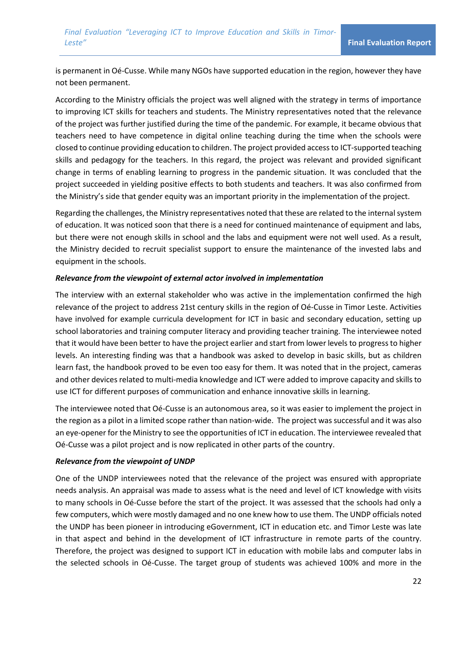is permanent in Oé-Cusse. While many NGOs have supported education in the region, however they have not been permanent.

According to the Ministry officials the project was well aligned with the strategy in terms of importance to improving ICT skills for teachers and students. The Ministry representatives noted that the relevance of the project was further justified during the time of the pandemic. For example, it became obvious that teachers need to have competence in digital online teaching during the time when the schools were closed to continue providing education to children. The project provided access to ICT-supported teaching skills and pedagogy for the teachers. In this regard, the project was relevant and provided significant change in terms of enabling learning to progress in the pandemic situation. It was concluded that the project succeeded in yielding positive effects to both students and teachers. It was also confirmed from the Ministry's side that gender equity was an important priority in the implementation of the project.

Regarding the challenges, the Ministry representatives noted that these are related to the internal system of education. It was noticed soon that there is a need for continued maintenance of equipment and labs, but there were not enough skills in school and the labs and equipment were not well used. As a result, the Ministry decided to recruit specialist support to ensure the maintenance of the invested labs and equipment in the schools.

#### *Relevance from the viewpoint of external actor involved in implementation*

The interview with an external stakeholder who was active in the implementation confirmed the high relevance of the project to address 21st century skills in the region of Oé-Cusse in Timor Leste. Activities have involved for example curricula development for ICT in basic and secondary education, setting up school laboratories and training computer literacy and providing teacher training. The interviewee noted that it would have been better to have the project earlier and start from lower levels to progress to higher levels. An interesting finding was that a handbook was asked to develop in basic skills, but as children learn fast, the handbook proved to be even too easy for them. It was noted that in the project, cameras and other devices related to multi-media knowledge and ICT were added to improve capacity and skills to use ICT for different purposes of communication and enhance innovative skills in learning.

The interviewee noted that Oé-Cusse is an autonomous area, so it was easier to implement the project in the region as a pilot in a limited scope rather than nation-wide. The project was successful and it was also an eye-opener for the Ministry to see the opportunities of ICT in education. The interviewee revealed that Oé-Cusse was a pilot project and is now replicated in other parts of the country.

### *Relevance from the viewpoint of UNDP*

One of the UNDP interviewees noted that the relevance of the project was ensured with appropriate needs analysis. An appraisal was made to assess what is the need and level of ICT knowledge with visits to many schools in Oé-Cusse before the start of the project. It was assessed that the schools had only a few computers, which were mostly damaged and no one knew how to use them. The UNDP officials noted the UNDP has been pioneer in introducing eGovernment, ICT in education etc. and Timor Leste was late in that aspect and behind in the development of ICT infrastructure in remote parts of the country. Therefore, the project was designed to support ICT in education with mobile labs and computer labs in the selected schools in Oé-Cusse. The target group of students was achieved 100% and more in the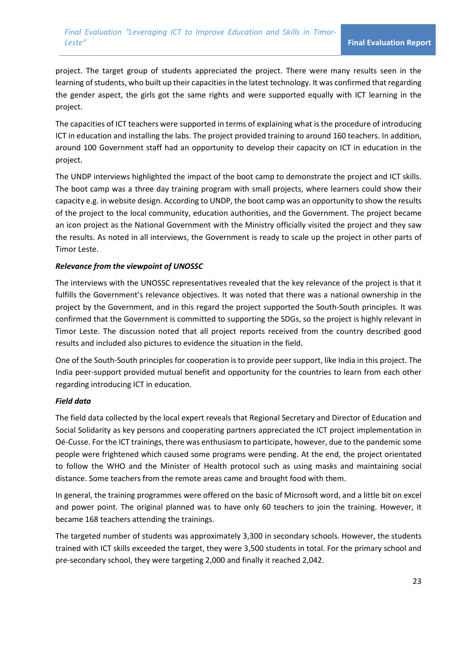project. The target group of students appreciated the project. There were many results seen in the learning of students, who built up their capacities in the latest technology. It was confirmed that regarding the gender aspect, the girls got the same rights and were supported equally with ICT learning in the project.

The capacities of ICT teachers were supported in terms of explaining what is the procedure of introducing ICT in education and installing the labs. The project provided training to around 160 teachers. In addition, around 100 Government staff had an opportunity to develop their capacity on ICT in education in the project.

The UNDP interviews highlighted the impact of the boot camp to demonstrate the project and ICT skills. The boot camp was a three day training program with small projects, where learners could show their capacity e.g. in website design. According to UNDP, the boot camp was an opportunity to show the results of the project to the local community, education authorities, and the Government. The project became an icon project as the National Government with the Ministry officially visited the project and they saw the results. As noted in all interviews, the Government is ready to scale up the project in other parts of Timor Leste.

### *Relevance from the viewpoint of UNOSSC*

The interviews with the UNOSSC representatives revealed that the key relevance of the project is that it fulfills the Government's relevance objectives. It was noted that there was a national ownership in the project by the Government, and in this regard the project supported the South-South principles. It was confirmed that the Government is committed to supporting the SDGs, so the project is highly relevant in Timor Leste. The discussion noted that all project reports received from the country described good results and included also pictures to evidence the situation in the field.

One of the South-South principles for cooperation is to provide peer support, like India in this project. The India peer-support provided mutual benefit and opportunity for the countries to learn from each other regarding introducing ICT in education.

### *Field data*

The field data collected by the local expert reveals that Regional Secretary and Director of Education and Social Solidarity as key persons and cooperating partners appreciated the ICT project implementation in Oé-Cusse. For the ICT trainings, there was enthusiasm to participate, however, due to the pandemic some people were frightened which caused some programs were pending. At the end, the project orientated to follow the WHO and the Minister of Health protocol such as using masks and maintaining social distance. Some teachers from the remote areas came and brought food with them.

In general, the training programmes were offered on the basic of Microsoft word, and a little bit on excel and power point. The original planned was to have only 60 teachers to join the training. However, it became 168 teachers attending the trainings.

The targeted number of students was approximately 3,300 in secondary schools. However, the students trained with ICT skills exceeded the target, they were 3,500 students in total. For the primary school and pre-secondary school, they were targeting 2,000 and finally it reached 2,042.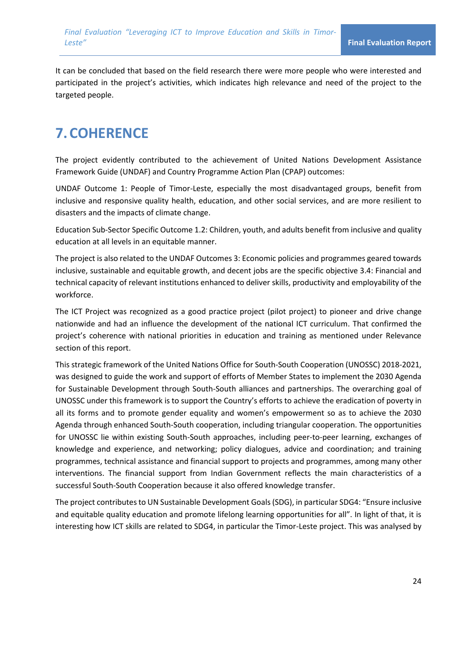It can be concluded that based on the field research there were more people who were interested and participated in the project's activities, which indicates high relevance and need of the project to the targeted people.

# **7.COHERENCE**

The project evidently contributed to the achievement of United Nations Development Assistance Framework Guide (UNDAF) and Country Programme Action Plan (CPAP) outcomes:

UNDAF Outcome 1: People of Timor-Leste, especially the most disadvantaged groups, benefit from inclusive and responsive quality health, education, and other social services, and are more resilient to disasters and the impacts of climate change.

Education Sub-Sector Specific Outcome 1.2: Children, youth, and adults benefit from inclusive and quality education at all levels in an equitable manner.

The project is also related to the UNDAF Outcomes 3: Economic policies and programmes geared towards inclusive, sustainable and equitable growth, and decent jobs are the specific objective 3.4: Financial and technical capacity of relevant institutions enhanced to deliver skills, productivity and employability of the workforce.

The ICT Project was recognized as a good practice project (pilot project) to pioneer and drive change nationwide and had an influence the development of the national ICT curriculum. That confirmed the project's coherence with national priorities in education and training as mentioned under Relevance section of this report.

This strategic framework of the United Nations Office for South-South Cooperation (UNOSSC) 2018-2021, was designed to guide the work and support of efforts of Member States to implement the 2030 Agenda for Sustainable Development through South-South alliances and partnerships. The overarching goal of UNOSSC under this framework is to support the Country's efforts to achieve the eradication of poverty in all its forms and to promote gender equality and women's empowerment so as to achieve the 2030 Agenda through enhanced South-South cooperation, including triangular cooperation. The opportunities for UNOSSC lie within existing South-South approaches, including peer-to-peer learning, exchanges of knowledge and experience, and networking; policy dialogues, advice and coordination; and training programmes, technical assistance and financial support to projects and programmes, among many other interventions. The financial support from Indian Government reflects the main characteristics of a successful South-South Cooperation because it also offered knowledge transfer.

The project contributes to UN Sustainable Development Goals (SDG), in particular SDG4: "Ensure inclusive and equitable quality education and promote lifelong learning opportunities for all". In light of that, it is interesting how ICT skills are related to SDG4, in particular the Timor-Leste project. This was analysed by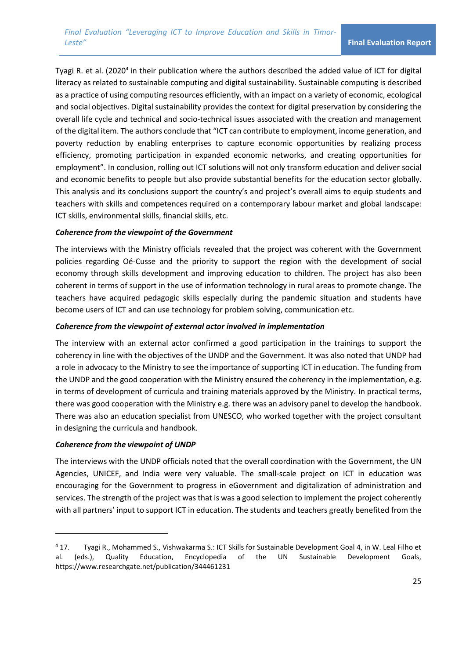Tyagi R. et al. (2020<sup>4</sup> in their publication where the authors described the added value of ICT for digital literacy as related to sustainable computing and digital sustainability. Sustainable computing is described as a practice of using computing resources efficiently, with an impact on a variety of economic, ecological and social objectives. Digital sustainability provides the context for digital preservation by considering the overall life cycle and technical and socio-technical issues associated with the creation and management of the digital item. The authors conclude that "ICT can contribute to employment, income generation, and poverty reduction by enabling enterprises to capture economic opportunities by realizing process efficiency, promoting participation in expanded economic networks, and creating opportunities for employment". In conclusion, rolling out ICT solutions will not only transform education and deliver social and economic benefits to people but also provide substantial benefits for the education sector globally. This analysis and its conclusions support the country's and project's overall aims to equip students and teachers with skills and competences required on a contemporary labour market and global landscape: ICT skills, environmental skills, financial skills, etc.

### *Coherence from the viewpoint of the Government*

The interviews with the Ministry officials revealed that the project was coherent with the Government policies regarding Oé-Cusse and the priority to support the region with the development of social economy through skills development and improving education to children. The project has also been coherent in terms of support in the use of information technology in rural areas to promote change. The teachers have acquired pedagogic skills especially during the pandemic situation and students have become users of ICT and can use technology for problem solving, communication etc.

### *Coherence from the viewpoint of external actor involved in implementation*

The interview with an external actor confirmed a good participation in the trainings to support the coherency in line with the objectives of the UNDP and the Government. It was also noted that UNDP had a role in advocacy to the Ministry to see the importance of supporting ICT in education. The funding from the UNDP and the good cooperation with the Ministry ensured the coherency in the implementation, e.g. in terms of development of curricula and training materials approved by the Ministry. In practical terms, there was good cooperation with the Ministry e.g. there was an advisory panel to develop the handbook. There was also an education specialist from UNESCO, who worked together with the project consultant in designing the curricula and handbook.

### *Coherence from the viewpoint of UNDP*

The interviews with the UNDP officials noted that the overall coordination with the Government, the UN Agencies, UNICEF, and India were very valuable. The small-scale project on ICT in education was encouraging for the Government to progress in eGovernment and digitalization of administration and services. The strength of the project was that is was a good selection to implement the project coherently with all partners' input to support ICT in education. The students and teachers greatly benefited from the

<sup>4</sup> 17. Tyagi R., Mohammed S., Vishwakarma S.: ICT Skills for Sustainable Development Goal 4, in W. Leal Filho et al. (eds.), Quality Education, Encyclopedia of the UN Sustainable Development Goals, https://www.researchgate.net/publication/344461231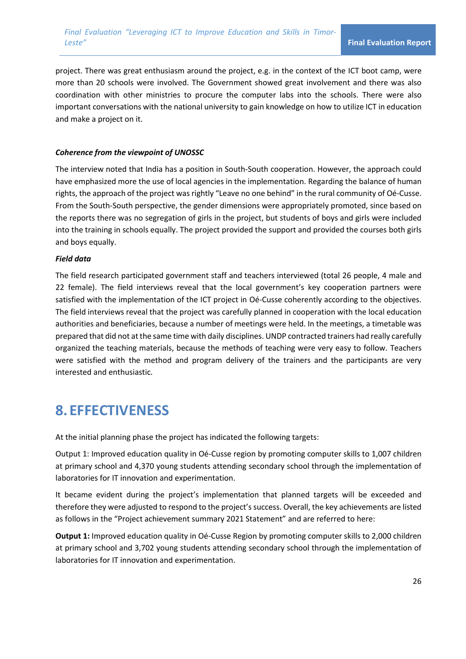project. There was great enthusiasm around the project, e.g. in the context of the ICT boot camp, were more than 20 schools were involved. The Government showed great involvement and there was also coordination with other ministries to procure the computer labs into the schools. There were also important conversations with the national university to gain knowledge on how to utilize ICT in education and make a project on it.

### *Coherence from the viewpoint of UNOSSC*

The interview noted that India has a position in South-South cooperation. However, the approach could have emphasized more the use of local agencies in the implementation. Regarding the balance of human rights, the approach of the project was rightly "Leave no one behind" in the rural community of Oé-Cusse. From the South-South perspective, the gender dimensions were appropriately promoted, since based on the reports there was no segregation of girls in the project, but students of boys and girls were included into the training in schools equally. The project provided the support and provided the courses both girls and boys equally.

### *Field data*

The field research participated government staff and teachers interviewed (total 26 people, 4 male and 22 female). The field interviews reveal that the local government's key cooperation partners were satisfied with the implementation of the ICT project in Oé-Cusse coherently according to the objectives. The field interviews reveal that the project was carefully planned in cooperation with the local education authorities and beneficiaries, because a number of meetings were held. In the meetings, a timetable was prepared that did not at the same time with daily disciplines. UNDP contracted trainers had really carefully organized the teaching materials, because the methods of teaching were very easy to follow. Teachers were satisfied with the method and program delivery of the trainers and the participants are very interested and enthusiastic.

## **8. EFFECTIVENESS**

At the initial planning phase the project has indicated the following targets:

Output 1: Improved education quality in Oé-Cusse region by promoting computer skills to 1,007 children at primary school and 4,370 young students attending secondary school through the implementation of laboratories for IT innovation and experimentation.

It became evident during the project's implementation that planned targets will be exceeded and therefore they were adjusted to respond to the project's success. Overall, the key achievements are listed as follows in the "Project achievement summary 2021 Statement" and are referred to here:

**Output 1:** Improved education quality in Oé-Cusse Region by promoting computer skills to 2,000 children at primary school and 3,702 young students attending secondary school through the implementation of laboratories for IT innovation and experimentation.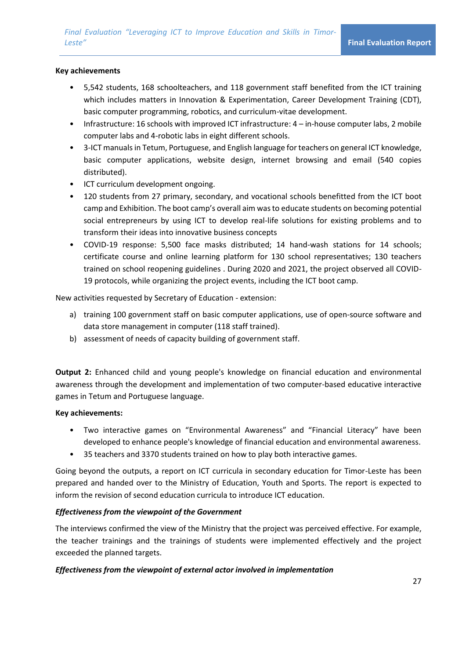#### **Key achievements**

- 5,542 students, 168 schoolteachers, and 118 government staff benefited from the ICT training which includes matters in Innovation & Experimentation, Career Development Training (CDT), basic computer programming, robotics, and curriculum-vitae development.
- Infrastructure: 16 schools with improved ICT infrastructure: 4 in-house computer labs, 2 mobile computer labs and 4-robotic labs in eight different schools.
- 3-ICT manuals in Tetum, Portuguese, and English language for teachers on general ICT knowledge, basic computer applications, website design, internet browsing and email (540 copies distributed).
- ICT curriculum development ongoing.
- 120 students from 27 primary, secondary, and vocational schools benefitted from the ICT boot camp and Exhibition. The boot camp's overall aim was to educate students on becoming potential social entrepreneurs by using ICT to develop real-life solutions for existing problems and to transform their ideas into innovative business concepts
- COVID-19 response: 5,500 face masks distributed; 14 hand-wash stations for 14 schools; certificate course and online learning platform for 130 school representatives; 130 teachers trained on school reopening guidelines . During 2020 and 2021, the project observed all COVID-19 protocols, while organizing the project events, including the ICT boot camp.

New activities requested by Secretary of Education - extension:

- a) training 100 government staff on basic computer applications, use of open-source software and data store management in computer (118 staff trained).
- b) assessment of needs of capacity building of government staff.

**Output 2:** Enhanced child and young people's knowledge on financial education and environmental awareness through the development and implementation of two computer-based educative interactive games in Tetum and Portuguese language.

#### **Key achievements:**

- Two interactive games on "Environmental Awareness" and "Financial Literacy" have been developed to enhance people's knowledge of financial education and environmental awareness.
- 35 teachers and 3370 students trained on how to play both interactive games.

Going beyond the outputs, a report on ICT curricula in secondary education for Timor-Leste has been prepared and handed over to the Ministry of Education, Youth and Sports. The report is expected to inform the revision of second education curricula to introduce ICT education.

### *Effectiveness from the viewpoint of the Government*

The interviews confirmed the view of the Ministry that the project was perceived effective. For example, the teacher trainings and the trainings of students were implemented effectively and the project exceeded the planned targets.

### *Effectiveness from the viewpoint of external actor involved in implementation*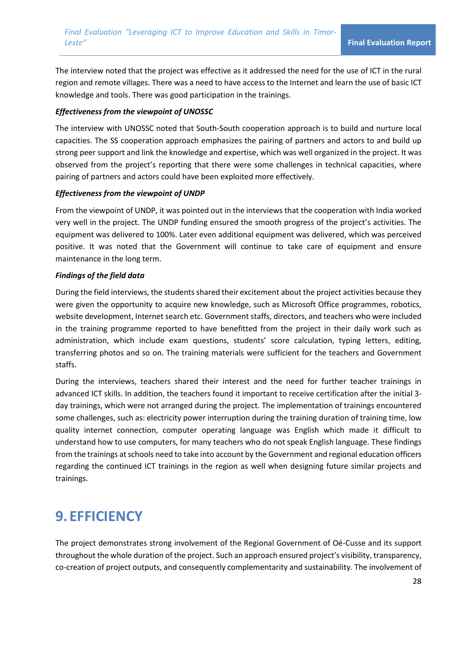The interview noted that the project was effective as it addressed the need for the use of ICT in the rural region and remote villages. There was a need to have access to the Internet and learn the use of basic ICT knowledge and tools. There was good participation in the trainings.

### *Effectiveness from the viewpoint of UNOSSC*

The interview with UNOSSC noted that South-South cooperation approach is to build and nurture local capacities. The SS cooperation approach emphasizes the pairing of partners and actors to and build up strong peer support and link the knowledge and expertise, which was well organized in the project. It was observed from the project's reporting that there were some challenges in technical capacities, where pairing of partners and actors could have been exploited more effectively.

### *Effectiveness from the viewpoint of UNDP*

From the viewpoint of UNDP, it was pointed out in the interviews that the cooperation with India worked very well in the project. The UNDP funding ensured the smooth progress of the project's activities. The equipment was delivered to 100%. Later even additional equipment was delivered, which was perceived positive. It was noted that the Government will continue to take care of equipment and ensure maintenance in the long term.

### *Findings of the field data*

During the field interviews, the students shared their excitement about the project activities because they were given the opportunity to acquire new knowledge, such as Microsoft Office programmes, robotics, website development, Internet search etc. Government staffs, directors, and teachers who were included in the training programme reported to have benefitted from the project in their daily work such as administration, which include exam questions, students' score calculation, typing letters, editing, transferring photos and so on. The training materials were sufficient for the teachers and Government staffs.

During the interviews, teachers shared their interest and the need for further teacher trainings in advanced ICT skills. In addition, the teachers found it important to receive certification after the initial 3 day trainings, which were not arranged during the project. The implementation of trainings encountered some challenges, such as: electricity power interruption during the training duration of training time, low quality internet connection, computer operating language was English which made it difficult to understand how to use computers, for many teachers who do not speak English language. These findings from the trainings at schools need to take into account by the Government and regional education officers regarding the continued ICT trainings in the region as well when designing future similar projects and trainings.

# **9. EFFICIENCY**

The project demonstrates strong involvement of the Regional Government of Oé-Cusse and its support throughout the whole duration of the project. Such an approach ensured project's visibility, transparency, co-creation of project outputs, and consequently complementarity and sustainability. The involvement of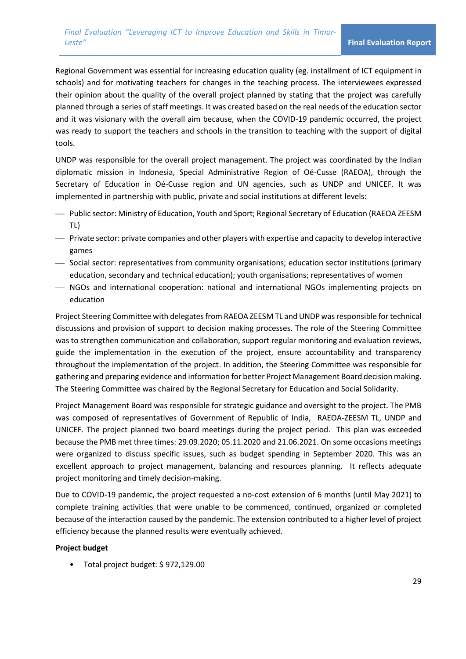Regional Government was essential for increasing education quality (eg. installment of ICT equipment in schools) and for motivating teachers for changes in the teaching process. The interviewees expressed their opinion about the quality of the overall project planned by stating that the project was carefully planned through a series of staff meetings. It was created based on the real needs of the education sector and it was visionary with the overall aim because, when the COVID-19 pandemic occurred, the project was ready to support the teachers and schools in the transition to teaching with the support of digital tools.

UNDP was responsible for the overall project management. The project was coordinated by the Indian diplomatic mission in Indonesia, Special Administrative Region of Oé-Cusse (RAEOA), through the Secretary of Education in Oé-Cusse region and UN agencies, such as UNDP and UNICEF. It was implemented in partnership with public, private and social institutions at different levels:

- ⎯ Public sector: Ministry of Education, Youth and Sport; Regional Secretary of Education (RAEOA ZEESM TL)
- ⎯ Private sector: private companies and other players with expertise and capacity to develop interactive games
- ⎯ Social sector: representatives from community organisations; education sector institutions (primary education, secondary and technical education); youth organisations; representatives of women
- ⎯ NGOs and international cooperation: national and international NGOs implementing projects on education

Project Steering Committee with delegates from RAEOA ZEESM TL and UNDP was responsible for technical discussions and provision of support to decision making processes. The role of the Steering Committee was to strengthen communication and collaboration, support regular monitoring and evaluation reviews, guide the implementation in the execution of the project, ensure accountability and transparency throughout the implementation of the project. In addition, the Steering Committee was responsible for gathering and preparing evidence and information for better Project Management Board decision making. The Steering Committee was chaired by the Regional Secretary for Education and Social Solidarity.

Project Management Board was responsible for strategic guidance and oversight to the project. The PMB was composed of representatives of Government of Republic of India, RAEOA-ZEESM TL, UNDP and UNICEF. The project planned two board meetings during the project period. This plan was exceeded because the PMB met three times: 29.09.2020; 05.11.2020 and 21.06.2021. On some occasions meetings were organized to discuss specific issues, such as budget spending in September 2020. This was an excellent approach to project management, balancing and resources planning. It reflects adequate project monitoring and timely decision-making.

Due to COVID-19 pandemic, the project requested a no-cost extension of 6 months (until May 2021) to complete training activities that were unable to be commenced, continued, organized or completed because of the interaction caused by the pandemic. The extension contributed to a higher level of project efficiency because the planned results were eventually achieved.

### **Project budget**

• Total project budget: \$ 972,129.00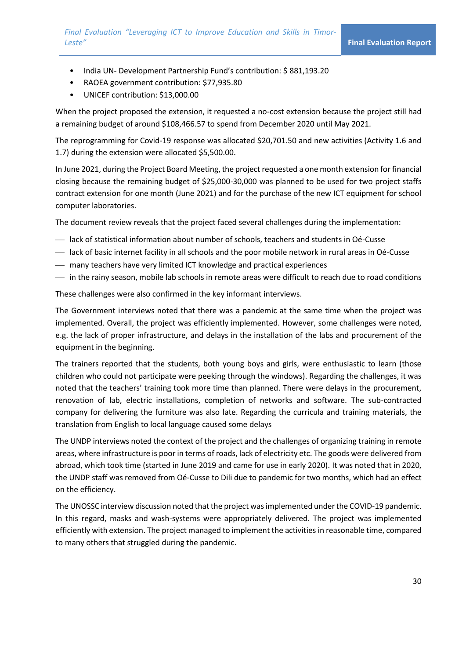- India UN- Development Partnership Fund's contribution: \$881,193.20
- RAOEA government contribution: \$77,935.80
- UNICEF contribution: \$13,000.00

When the project proposed the extension, it requested a no-cost extension because the project still had a remaining budget of around \$108,466.57 to spend from December 2020 until May 2021.

The reprogramming for Covid-19 response was allocated \$20,701.50 and new activities (Activity 1.6 and 1.7) during the extension were allocated \$5,500.00.

In June 2021, during the Project Board Meeting, the project requested a one month extension for financial closing because the remaining budget of \$25,000-30,000 was planned to be used for two project staffs contract extension for one month (June 2021) and for the purchase of the new ICT equipment for school computer laboratories.

The document review reveals that the project faced several challenges during the implementation:

- ⎯ lack of statistical information about number of schools, teachers and students in Oé-Cusse
- ⎯ lack of basic internet facility in all schools and the poor mobile network in rural areas in Oé-Cusse
- $-$  many teachers have very limited ICT knowledge and practical experiences
- $-$  in the rainy season, mobile lab schools in remote areas were difficult to reach due to road conditions

These challenges were also confirmed in the key informant interviews.

The Government interviews noted that there was a pandemic at the same time when the project was implemented. Overall, the project was efficiently implemented. However, some challenges were noted, e.g. the lack of proper infrastructure, and delays in the installation of the labs and procurement of the equipment in the beginning.

The trainers reported that the students, both young boys and girls, were enthusiastic to learn (those children who could not participate were peeking through the windows). Regarding the challenges, it was noted that the teachers' training took more time than planned. There were delays in the procurement, renovation of lab, electric installations, completion of networks and software. The sub-contracted company for delivering the furniture was also late. Regarding the curricula and training materials, the translation from English to local language caused some delays

The UNDP interviews noted the context of the project and the challenges of organizing training in remote areas, where infrastructure is poor in terms of roads, lack of electricity etc. The goods were delivered from abroad, which took time (started in June 2019 and came for use in early 2020). It was noted that in 2020, the UNDP staff was removed from Oé-Cusse to Dili due to pandemic for two months, which had an effect on the efficiency.

The UNOSSC interview discussion noted that the project was implemented under the COVID-19 pandemic. In this regard, masks and wash-systems were appropriately delivered. The project was implemented efficiently with extension. The project managed to implement the activities in reasonable time, compared to many others that struggled during the pandemic.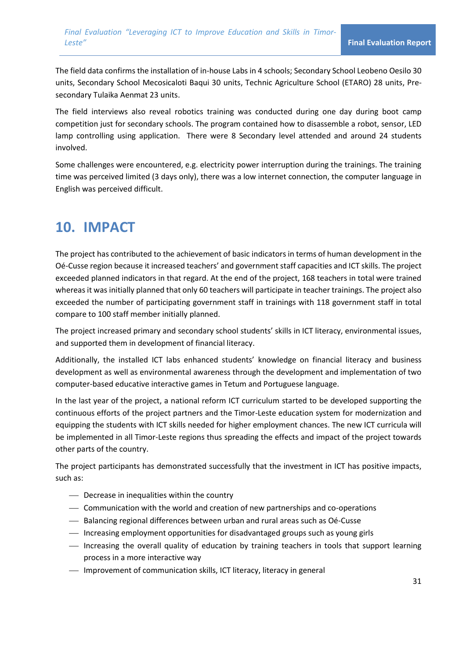The field data confirms the installation of in-house Labs in 4 schools; Secondary School Leobeno Oesilo 30 units, Secondary School Mecosicaloti Baqui 30 units, Technic Agriculture School (ETARO) 28 units, Presecondary Tulaika Aenmat 23 units.

The field interviews also reveal robotics training was conducted during one day during boot camp competition just for secondary schools. The program contained how to disassemble a robot, sensor, LED lamp controlling using application. There were 8 Secondary level attended and around 24 students involved.

Some challenges were encountered, e.g. electricity power interruption during the trainings. The training time was perceived limited (3 days only), there was a low internet connection, the computer language in English was perceived difficult.

## **10. IMPACT**

The project has contributed to the achievement of basic indicators in terms of human development in the Oé-Cusse region because it increased teachers' and government staff capacities and ICT skills. The project exceeded planned indicators in that regard. At the end of the project, 168 teachers in total were trained whereas it was initially planned that only 60 teachers will participate in teacher trainings. The project also exceeded the number of participating government staff in trainings with 118 government staff in total compare to 100 staff member initially planned.

The project increased primary and secondary school students' skills in ICT literacy, environmental issues, and supported them in development of financial literacy.

Additionally, the installed ICT labs enhanced students' knowledge on financial literacy and business development as well as environmental awareness through the development and implementation of two computer-based educative interactive games in Tetum and Portuguese language.

In the last year of the project, a national reform ICT curriculum started to be developed supporting the continuous efforts of the project partners and the Timor-Leste education system for modernization and equipping the students with ICT skills needed for higher employment chances. The new ICT curricula will be implemented in all Timor-Leste regions thus spreading the effects and impact of the project towards other parts of the country.

The project participants has demonstrated successfully that the investment in ICT has positive impacts, such as:

- ⎯ Decrease in inequalities within the country
- ⎯ Communication with the world and creation of new partnerships and co-operations
- ⎯ Balancing regional differences between urban and rural areas such as Oé-Cusse
- ⎯ Increasing employment opportunities for disadvantaged groups such as young girls
- ⎯ Increasing the overall quality of education by training teachers in tools that support learning process in a more interactive way
- $\equiv$  Improvement of communication skills, ICT literacy, literacy in general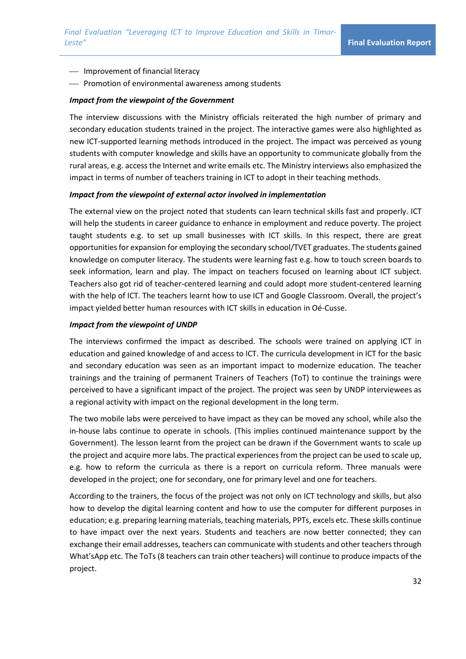- $\overline{\phantom{a}}$  Improvement of financial literacy
- ⎯ Promotion of environmental awareness among students

#### *Impact from the viewpoint of the Government*

The interview discussions with the Ministry officials reiterated the high number of primary and secondary education students trained in the project. The interactive games were also highlighted as new ICT-supported learning methods introduced in the project. The impact was perceived as young students with computer knowledge and skills have an opportunity to communicate globally from the rural areas, e.g. access the Internet and write emails etc. The Ministry interviews also emphasized the impact in terms of number of teachers training in ICT to adopt in their teaching methods.

#### *Impact from the viewpoint of external actor involved in implementation*

The external view on the project noted that students can learn technical skills fast and properly. ICT will help the students in career guidance to enhance in employment and reduce poverty. The project taught students e.g. to set up small businesses with ICT skills. In this respect, there are great opportunities for expansion for employing the secondary school/TVET graduates. The students gained knowledge on computer literacy. The students were learning fast e.g. how to touch screen boards to seek information, learn and play. The impact on teachers focused on learning about ICT subject. Teachers also got rid of teacher-centered learning and could adopt more student-centered learning with the help of ICT. The teachers learnt how to use ICT and Google Classroom. Overall, the project's impact yielded better human resources with ICT skills in education in Oé-Cusse.

#### *Impact from the viewpoint of UNDP*

The interviews confirmed the impact as described. The schools were trained on applying ICT in education and gained knowledge of and access to ICT. The curricula development in ICT for the basic and secondary education was seen as an important impact to modernize education. The teacher trainings and the training of permanent Trainers of Teachers (ToT) to continue the trainings were perceived to have a significant impact of the project. The project was seen by UNDP interviewees as a regional activity with impact on the regional development in the long term.

The two mobile labs were perceived to have impact as they can be moved any school, while also the in-house labs continue to operate in schools. (This implies continued maintenance support by the Government). The lesson learnt from the project can be drawn if the Government wants to scale up the project and acquire more labs. The practical experiences from the project can be used to scale up, e.g. how to reform the curricula as there is a report on curricula reform. Three manuals were developed in the project; one for secondary, one for primary level and one for teachers.

According to the trainers, the focus of the project was not only on ICT technology and skills, but also how to develop the digital learning content and how to use the computer for different purposes in education; e.g. preparing learning materials, teaching materials, PPTs, excels etc. These skills continue to have impact over the next years. Students and teachers are now better connected; they can exchange their email addresses, teachers can communicate with students and other teachers through What'sApp etc. The ToTs (8 teachers can train other teachers) will continue to produce impacts of the project.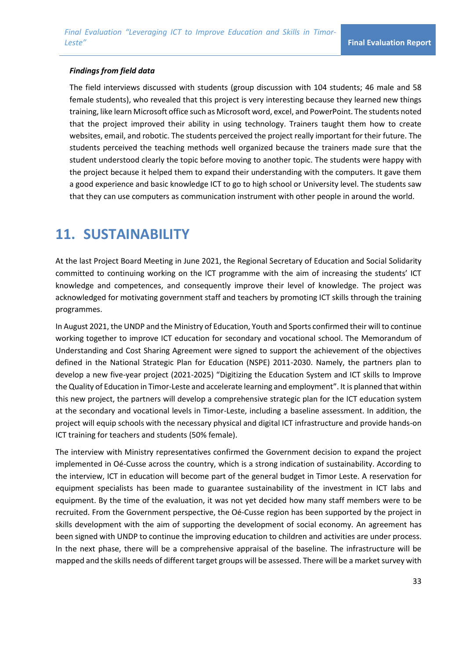#### *Findings from field data*

The field interviews discussed with students (group discussion with 104 students; 46 male and 58 female students), who revealed that this project is very interesting because they learned new things training, like learn Microsoft office such as Microsoft word, excel, and PowerPoint. The students noted that the project improved their ability in using technology. Trainers taught them how to create websites, email, and robotic. The students perceived the project really important for their future. The students perceived the teaching methods well organized because the trainers made sure that the student understood clearly the topic before moving to another topic. The students were happy with the project because it helped them to expand their understanding with the computers. It gave them a good experience and basic knowledge ICT to go to high school or University level. The students saw that they can use computers as communication instrument with other people in around the world.

## **11. SUSTAINABILITY**

At the last Project Board Meeting in June 2021, the Regional Secretary of Education and Social Solidarity committed to continuing working on the ICT programme with the aim of increasing the students' ICT knowledge and competences, and consequently improve their level of knowledge. The project was acknowledged for motivating government staff and teachers by promoting ICT skills through the training programmes.

In August 2021, the UNDP and the Ministry of Education, Youth and Sports confirmed their will to continue working together to improve ICT education for secondary and vocational school. The Memorandum of Understanding and Cost Sharing Agreement were signed to support the achievement of the objectives defined in the National Strategic Plan for Education (NSPE) 2011-2030. Namely, the partners plan to develop a new five-year project (2021-2025) "Digitizing the Education System and ICT skills to Improve the Quality of Education in Timor-Leste and accelerate learning and employment". It is planned that within this new project, the partners will develop a comprehensive strategic plan for the ICT education system at the secondary and vocational levels in Timor-Leste, including a baseline assessment. In addition, the project will equip schools with the necessary physical and digital ICT infrastructure and provide hands-on ICT training for teachers and students (50% female).

The interview with Ministry representatives confirmed the Government decision to expand the project implemented in Oé-Cusse across the country, which is a strong indication of sustainability. According to the interview, ICT in education will become part of the general budget in Timor Leste. A reservation for equipment specialists has been made to guarantee sustainability of the investment in ICT labs and equipment. By the time of the evaluation, it was not yet decided how many staff members were to be recruited. From the Government perspective, the Oé-Cusse region has been supported by the project in skills development with the aim of supporting the development of social economy. An agreement has been signed with UNDP to continue the improving education to children and activities are under process. In the next phase, there will be a comprehensive appraisal of the baseline. The infrastructure will be mapped and the skills needs of different target groups will be assessed. There will be a market survey with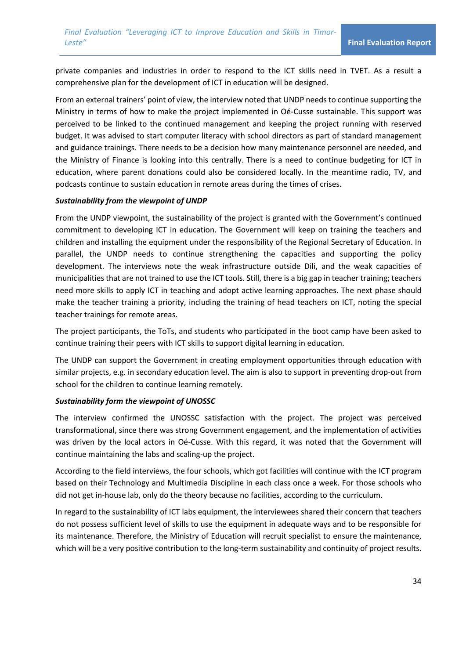private companies and industries in order to respond to the ICT skills need in TVET. As a result a comprehensive plan for the development of ICT in education will be designed.

From an external trainers' point of view, the interview noted that UNDP needs to continue supporting the Ministry in terms of how to make the project implemented in Oé-Cusse sustainable. This support was perceived to be linked to the continued management and keeping the project running with reserved budget. It was advised to start computer literacy with school directors as part of standard management and guidance trainings. There needs to be a decision how many maintenance personnel are needed, and the Ministry of Finance is looking into this centrally. There is a need to continue budgeting for ICT in education, where parent donations could also be considered locally. In the meantime radio, TV, and podcasts continue to sustain education in remote areas during the times of crises.

#### *Sustainability from the viewpoint of UNDP*

From the UNDP viewpoint, the sustainability of the project is granted with the Government's continued commitment to developing ICT in education. The Government will keep on training the teachers and children and installing the equipment under the responsibility of the Regional Secretary of Education. In parallel, the UNDP needs to continue strengthening the capacities and supporting the policy development. The interviews note the weak infrastructure outside Dili, and the weak capacities of municipalities that are not trained to use the ICT tools. Still, there is a big gap in teacher training; teachers need more skills to apply ICT in teaching and adopt active learning approaches. The next phase should make the teacher training a priority, including the training of head teachers on ICT, noting the special teacher trainings for remote areas.

The project participants, the ToTs, and students who participated in the boot camp have been asked to continue training their peers with ICT skills to support digital learning in education.

The UNDP can support the Government in creating employment opportunities through education with similar projects, e.g. in secondary education level. The aim is also to support in preventing drop-out from school for the children to continue learning remotely.

### *Sustainability form the viewpoint of UNOSSC*

The interview confirmed the UNOSSC satisfaction with the project. The project was perceived transformational, since there was strong Government engagement, and the implementation of activities was driven by the local actors in Oé-Cusse. With this regard, it was noted that the Government will continue maintaining the labs and scaling-up the project.

According to the field interviews, the four schools, which got facilities will continue with the ICT program based on their Technology and Multimedia Discipline in each class once a week. For those schools who did not get in-house lab, only do the theory because no facilities, according to the curriculum.

In regard to the sustainability of ICT labs equipment, the interviewees shared their concern that teachers do not possess sufficient level of skills to use the equipment in adequate ways and to be responsible for its maintenance. Therefore, the Ministry of Education will recruit specialist to ensure the maintenance, which will be a very positive contribution to the long-term sustainability and continuity of project results.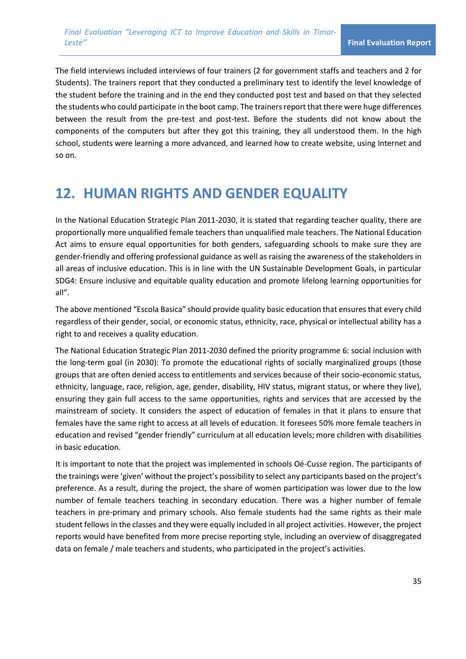The field interviews included interviews of four trainers (2 for government staffs and teachers and 2 for Students). The trainers report that they conducted a preliminary test to identify the level knowledge of the student before the training and in the end they conducted post test and based on that they selected the students who could participate in the boot camp. The trainers report that there were huge differences between the result from the pre-test and post-test. Before the students did not know about the components of the computers but after they got this training, they all understood them. In the high school, students were learning a more advanced, and learned how to create website, using Internet and so on.

## **12. HUMAN RIGHTS AND GENDER EQUALITY**

In the National Education Strategic Plan 2011-2030, it is stated that regarding teacher quality, there are proportionally more unqualified female teachers than unqualified male teachers. The National Education Act aims to ensure equal opportunities for both genders, safeguarding schools to make sure they are gender-friendly and offering professional guidance as well as raising the awareness of the stakeholders in all areas of inclusive education. This is in line with the UN Sustainable Development Goals, in particular SDG4: Ensure inclusive and equitable quality education and promote lifelong learning opportunities for all".

The above mentioned "Escola Basica" should provide quality basic education that ensures that every child regardless of their gender, social, or economic status, ethnicity, race, physical or intellectual ability has a right to and receives a quality education.

The National Education Strategic Plan 2011-2030 defined the priority programme 6: social inclusion with the long-term goal (in 2030): To promote the educational rights of socially marginalized groups (those groups that are often denied access to entitlements and services because of their socio-economic status, ethnicity, language, race, religion, age, gender, disability, HIV status, migrant status, or where they live), ensuring they gain full access to the same opportunities, rights and services that are accessed by the mainstream of society. It considers the aspect of education of females in that it plans to ensure that females have the same right to access at all levels of education. It foresees 50% more female teachers in education and revised "gender friendly" curriculum at all education levels; more children with disabilities in basic education.

It is important to note that the project was implemented in schools Oé-Cusse region. The participants of the trainings were 'given' without the project's possibility to select any participants based on the project's preference. As a result, during the project, the share of women participation was lower due to the low number of female teachers teaching in secondary education. There was a higher number of female teachers in pre-primary and primary schools. Also female students had the same rights as their male student fellows in the classes and they were equally included in all project activities. However, the project reports would have benefited from more precise reporting style, including an overview of disaggregated data on female / male teachers and students, who participated in the project's activities.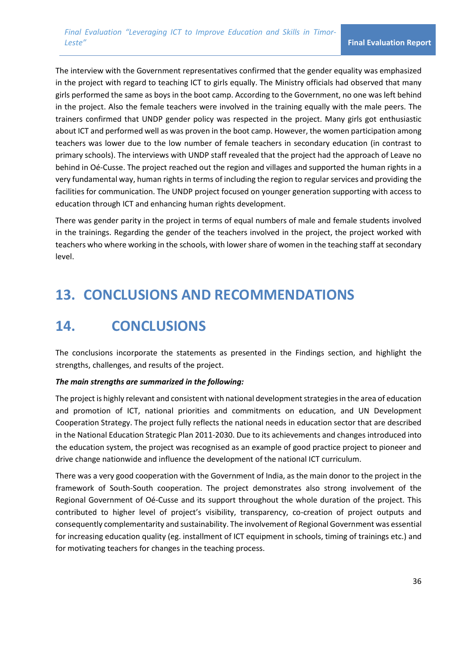The interview with the Government representatives confirmed that the gender equality was emphasized in the project with regard to teaching ICT to girls equally. The Ministry officials had observed that many girls performed the same as boys in the boot camp. According to the Government, no one was left behind in the project. Also the female teachers were involved in the training equally with the male peers. The trainers confirmed that UNDP gender policy was respected in the project. Many girls got enthusiastic about ICT and performed well as was proven in the boot camp. However, the women participation among teachers was lower due to the low number of female teachers in secondary education (in contrast to primary schools). The interviews with UNDP staff revealed that the project had the approach of Leave no behind in Oé-Cusse. The project reached out the region and villages and supported the human rights in a very fundamental way, human rights in terms of including the region to regular services and providing the facilities for communication. The UNDP project focused on younger generation supporting with access to education through ICT and enhancing human rights development.

There was gender parity in the project in terms of equal numbers of male and female students involved in the trainings. Regarding the gender of the teachers involved in the project, the project worked with teachers who where working in the schools, with lower share of women in the teaching staff at secondary level.

# **13. CONCLUSIONS AND RECOMMENDATIONS**

# **14. CONCLUSIONS**

The conclusions incorporate the statements as presented in the Findings section, and highlight the strengths, challenges, and results of the project.

### *The main strengths are summarized in the following:*

The project is highly relevant and consistent with national development strategies in the area of education and promotion of ICT, national priorities and commitments on education, and UN Development Cooperation Strategy. The project fully reflects the national needs in education sector that are described in the National Education Strategic Plan 2011-2030. Due to its achievements and changes introduced into the education system, the project was recognised as an example of good practice project to pioneer and drive change nationwide and influence the development of the national ICT curriculum.

There was a very good cooperation with the Government of India, as the main donor to the project in the framework of South-South cooperation. The project demonstrates also strong involvement of the Regional Government of Oé-Cusse and its support throughout the whole duration of the project. This contributed to higher level of project's visibility, transparency, co-creation of project outputs and consequently complementarity and sustainability. The involvement of Regional Government was essential for increasing education quality (eg. installment of ICT equipment in schools, timing of trainings etc.) and for motivating teachers for changes in the teaching process.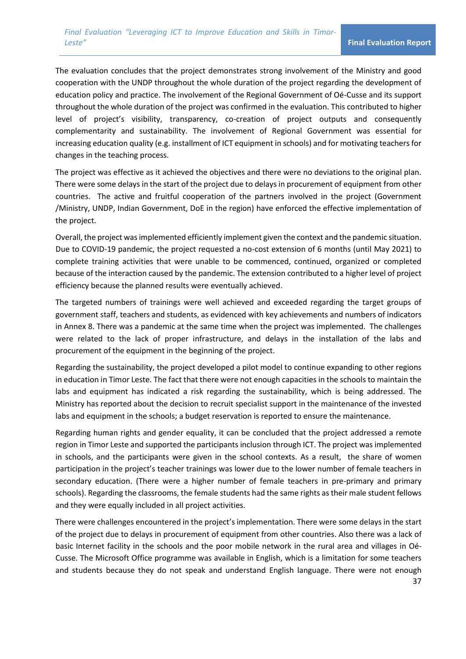The evaluation concludes that the project demonstrates strong involvement of the Ministry and good cooperation with the UNDP throughout the whole duration of the project regarding the development of education policy and practice. The involvement of the Regional Government of Oé-Cusse and its support throughout the whole duration of the project was confirmed in the evaluation. This contributed to higher level of project's visibility, transparency, co-creation of project outputs and consequently complementarity and sustainability. The involvement of Regional Government was essential for increasing education quality (e.g. installment of ICT equipment in schools) and for motivating teachers for changes in the teaching process.

The project was effective as it achieved the objectives and there were no deviations to the original plan. There were some delays in the start of the project due to delays in procurement of equipment from other countries. The active and fruitful cooperation of the partners involved in the project (Government /Ministry, UNDP, Indian Government, DoE in the region) have enforced the effective implementation of the project.

Overall, the project was implemented efficiently implement given the context and the pandemic situation. Due to COVID-19 pandemic, the project requested a no-cost extension of 6 months (until May 2021) to complete training activities that were unable to be commenced, continued, organized or completed because of the interaction caused by the pandemic. The extension contributed to a higher level of project efficiency because the planned results were eventually achieved.

The targeted numbers of trainings were well achieved and exceeded regarding the target groups of government staff, teachers and students, as evidenced with key achievements and numbers of indicators in Annex 8. There was a pandemic at the same time when the project was implemented. The challenges were related to the lack of proper infrastructure, and delays in the installation of the labs and procurement of the equipment in the beginning of the project.

Regarding the sustainability, the project developed a pilot model to continue expanding to other regions in education in Timor Leste. The fact that there were not enough capacities in the schools to maintain the labs and equipment has indicated a risk regarding the sustainability, which is being addressed. The Ministry has reported about the decision to recruit specialist support in the maintenance of the invested labs and equipment in the schools; a budget reservation is reported to ensure the maintenance.

Regarding human rights and gender equality, it can be concluded that the project addressed a remote region in Timor Leste and supported the participants inclusion through ICT. The project was implemented in schools, and the participants were given in the school contexts. As a result, the share of women participation in the project's teacher trainings was lower due to the lower number of female teachers in secondary education. (There were a higher number of female teachers in pre-primary and primary schools). Regarding the classrooms, the female students had the same rights as their male student fellows and they were equally included in all project activities.

There were challenges encountered in the project's implementation. There were some delays in the start of the project due to delays in procurement of equipment from other countries. Also there was a lack of basic Internet facility in the schools and the poor mobile network in the rural area and villages in Oé-Cusse. The Microsoft Office programme was available in English, which is a limitation for some teachers and students because they do not speak and understand English language. There were not enough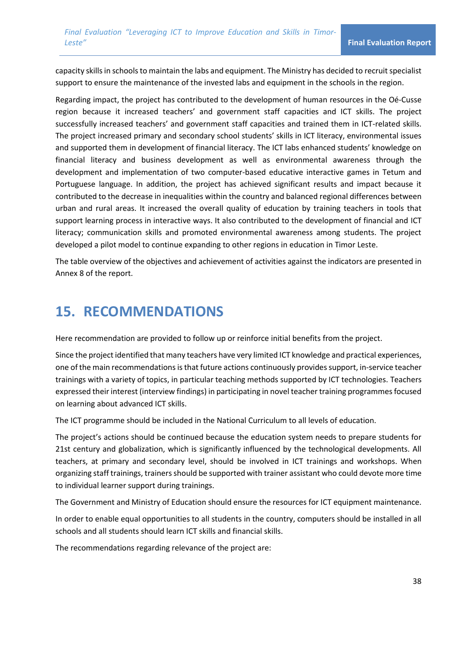capacity skills in schools to maintain the labs and equipment. The Ministry has decided to recruit specialist support to ensure the maintenance of the invested labs and equipment in the schools in the region.

Regarding impact, the project has contributed to the development of human resources in the Oé-Cusse region because it increased teachers' and government staff capacities and ICT skills. The project successfully increased teachers' and government staff capacities and trained them in ICT-related skills. The project increased primary and secondary school students' skills in ICT literacy, environmental issues and supported them in development of financial literacy. The ICT labs enhanced students' knowledge on financial literacy and business development as well as environmental awareness through the development and implementation of two computer-based educative interactive games in Tetum and Portuguese language. In addition, the project has achieved significant results and impact because it contributed to the decrease in inequalities within the country and balanced regional differences between urban and rural areas. It increased the overall quality of education by training teachers in tools that support learning process in interactive ways. It also contributed to the development of financial and ICT literacy; communication skills and promoted environmental awareness among students. The project developed a pilot model to continue expanding to other regions in education in Timor Leste.

The table overview of the objectives and achievement of activities against the indicators are presented in Annex 8 of the report.

## **15. RECOMMENDATIONS**

Here recommendation are provided to follow up or reinforce initial benefits from the project.

Since the project identified that many teachers have very limited ICT knowledge and practical experiences, one of the main recommendations is that future actions continuously provides support, in-service teacher trainings with a variety of topics, in particular teaching methods supported by ICT technologies. Teachers expressed their interest (interview findings) in participating in novel teacher training programmes focused on learning about advanced ICT skills.

The ICT programme should be included in the National Curriculum to all levels of education.

The project's actions should be continued because the education system needs to prepare students for 21st century and globalization, which is significantly influenced by the technological developments. All teachers, at primary and secondary level, should be involved in ICT trainings and workshops. When organizing staff trainings, trainers should be supported with trainer assistant who could devote more time to individual learner support during trainings.

The Government and Ministry of Education should ensure the resources for ICT equipment maintenance.

In order to enable equal opportunities to all students in the country, computers should be installed in all schools and all students should learn ICT skills and financial skills.

The recommendations regarding relevance of the project are: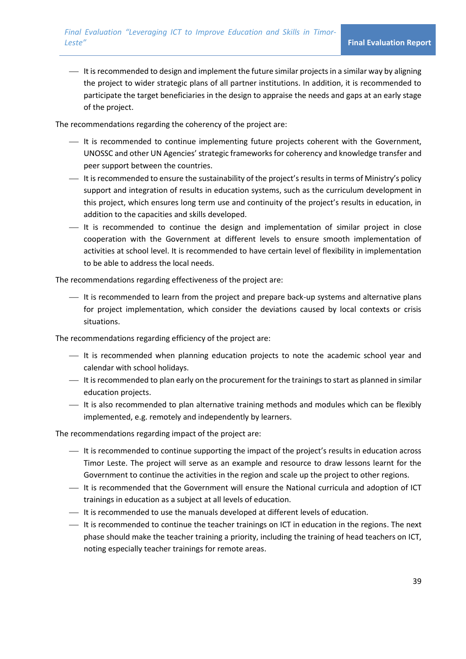⎯ It is recommended to design and implement the future similar projects in a similar way by aligning the project to wider strategic plans of all partner institutions. In addition, it is recommended to participate the target beneficiaries in the design to appraise the needs and gaps at an early stage of the project.

The recommendations regarding the coherency of the project are:

- ⎯ It is recommended to continue implementing future projects coherent with the Government, UNOSSC and other UN Agencies' strategic frameworks for coherency and knowledge transfer and peer support between the countries.
- $-$  It is recommended to ensure the sustainability of the project's results in terms of Ministry's policy support and integration of results in education systems, such as the curriculum development in this project, which ensures long term use and continuity of the project's results in education, in addition to the capacities and skills developed.
- ⎯ It is recommended to continue the design and implementation of similar project in close cooperation with the Government at different levels to ensure smooth implementation of activities at school level. It is recommended to have certain level of flexibility in implementation to be able to address the local needs.

The recommendations regarding effectiveness of the project are:

⎯ It is recommended to learn from the project and prepare back-up systems and alternative plans for project implementation, which consider the deviations caused by local contexts or crisis situations.

The recommendations regarding efficiency of the project are:

- ⎯ It is recommended when planning education projects to note the academic school year and calendar with school holidays.
- ⎯ It is recommended to plan early on the procurement for the trainings to start as planned in similar education projects.
- ⎯ It is also recommended to plan alternative training methods and modules which can be flexibly implemented, e.g. remotely and independently by learners.

The recommendations regarding impact of the project are:

- ⎯ It is recommended to continue supporting the impact of the project's results in education across Timor Leste. The project will serve as an example and resource to draw lessons learnt for the Government to continue the activities in the region and scale up the project to other regions.
- ⎯ It is recommended that the Government will ensure the National curricula and adoption of ICT trainings in education as a subject at all levels of education.
- $-$  It is recommended to use the manuals developed at different levels of education.
- ⎯ It is recommended to continue the teacher trainings on ICT in education in the regions. The next phase should make the teacher training a priority, including the training of head teachers on ICT, noting especially teacher trainings for remote areas.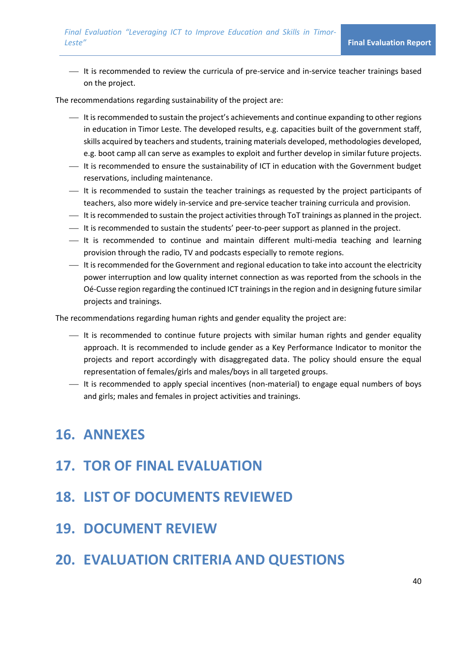⎯ It is recommended to review the curricula of pre-service and in-service teacher trainings based on the project.

The recommendations regarding sustainability of the project are:

- ⎯ It is recommended to sustain the project's achievements and continue expanding to other regions in education in Timor Leste. The developed results, e.g. capacities built of the government staff, skills acquired by teachers and students, training materials developed, methodologies developed, e.g. boot camp all can serve as examples to exploit and further develop in similar future projects.
- $-$  It is recommended to ensure the sustainability of ICT in education with the Government budget reservations, including maintenance.
- ⎯ It is recommended to sustain the teacher trainings as requested by the project participants of teachers, also more widely in-service and pre-service teacher training curricula and provision.
- ⎯ It is recommended to sustain the project activities through ToT trainings as planned in the project.
- ⎯ It is recommended to sustain the students' peer-to-peer support as planned in the project.
- ⎯ It is recommended to continue and maintain different multi-media teaching and learning provision through the radio, TV and podcasts especially to remote regions.
- ⎯ It is recommended for the Government and regional education to take into account the electricity power interruption and low quality internet connection as was reported from the schools in the Oé-Cusse region regarding the continued ICT trainings in the region and in designing future similar projects and trainings.

The recommendations regarding human rights and gender equality the project are:

- ⎯ It is recommended to continue future projects with similar human rights and gender equality approach. It is recommended to include gender as a Key Performance Indicator to monitor the projects and report accordingly with disaggregated data. The policy should ensure the equal representation of females/girls and males/boys in all targeted groups.
- ⎯ It is recommended to apply special incentives (non-material) to engage equal numbers of boys and girls; males and females in project activities and trainings.

## **16. ANNEXES**

- **17. TOR OF FINAL EVALUATION**
- **18. LIST OF DOCUMENTS REVIEWED**
- **19. DOCUMENT REVIEW**

## **20. EVALUATION CRITERIA AND QUESTIONS**